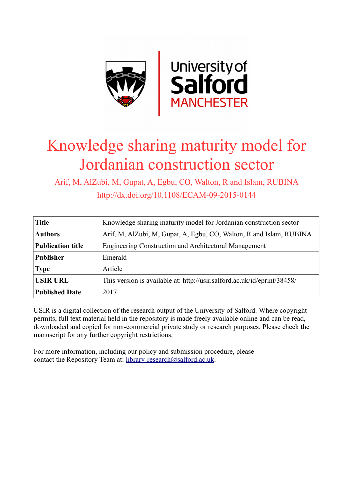

# Knowledge sharing maturity model for Jordanian construction sector

Arif, M, AlZubi, M, Gupat, A, Egbu, CO, Walton, R and Islam, RUBINA http://dx.doi.org/10.1108/ECAM-09-2015-0144

| <b>Title</b>             | Knowledge sharing maturity model for Jordanian construction sector       |
|--------------------------|--------------------------------------------------------------------------|
| <b>Authors</b>           | Arif, M, AlZubi, M, Gupat, A, Egbu, CO, Walton, R and Islam, RUBINA      |
| <b>Publication title</b> | <b>Engineering Construction and Architectural Management</b>             |
| <b>Publisher</b>         | Emerald                                                                  |
| <b>Type</b>              | Article                                                                  |
| <b>USIR URL</b>          | This version is available at: http://usir.salford.ac.uk/id/eprint/38458/ |
| <b>Published Date</b>    | 2017                                                                     |

USIR is a digital collection of the research output of the University of Salford. Where copyright permits, full text material held in the repository is made freely available online and can be read, downloaded and copied for non-commercial private study or research purposes. Please check the manuscript for any further copyright restrictions.

For more information, including our policy and submission procedure, please contact the Repository Team at: [library-research@salford.ac.uk.](mailto:library-research@salford.ac.uk)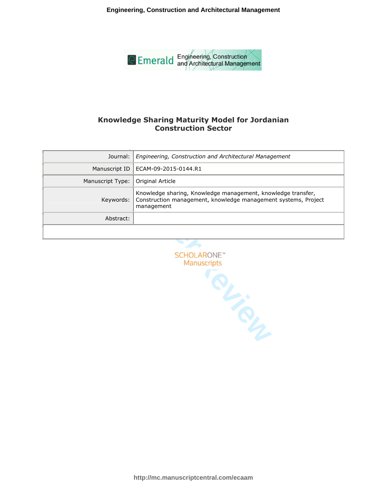**Engineering, Construction and Architectural Management**



## **Knowledge Sharing Maturity Model for Jordanian Construction Sector**

|                                     | Journal:   Engineering, Construction and Architectural Management                                                                            |
|-------------------------------------|----------------------------------------------------------------------------------------------------------------------------------------------|
|                                     | Manuscript ID   ECAM-09-2015-0144.R1                                                                                                         |
| Manuscript Type:   Original Article |                                                                                                                                              |
| Keywords:                           | Knowledge sharing, Knowledge management, knowledge transfer,<br>Construction management, knowledge management systems, Project<br>management |
| Abstract:                           |                                                                                                                                              |
|                                     |                                                                                                                                              |



**http://mc.manuscriptcentral.com/ecaam**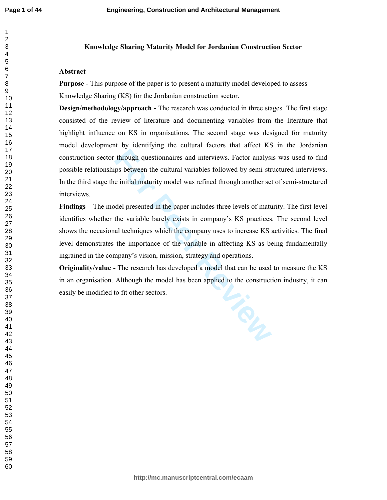## **Knowledge Sharing Maturity Model for Jordanian Construction Sector**

## **Abstract**

**Purpose -** This purpose of the paper is to present a maturity model developed to assess Knowledge Sharing (KS) for the Jordanian construction sector.

**Design/methodology/approach -** The research was conducted in three stages. The first stage consisted of the review of literature and documenting variables from the literature that highlight influence on KS in organisations. The second stage was designed for maturity model development by identifying the cultural factors that affect KS in the Jordanian construction sector through questionnaires and interviews. Factor analysis was used to find possible relationships between the cultural variables followed by semi-structured interviews. In the third stage the initial maturity model was refined through another set of semi-structured interviews.

through questionnaires and interviews. Factor analysi<br>ps between the cultural variables followed by semi-str<br>e initial maturity model was refined through another set<br>del presented in the paper includes three levels of matu **Findings –** The model presented in the paper includes three levels of maturity. The first level identifies whether the variable barely exists in company's KS practices. The second level shows the occasional techniques which the company uses to increase KS activities. The final level demonstrates the importance of the variable in affecting KS as being fundamentally ingrained in the company's vision, mission, strategy and operations.

**Originality/value -** The research has developed a model that can be used to measure the KS in an organisation. Although the model has been applied to the construction industry, it can easily be modified to fit other sectors.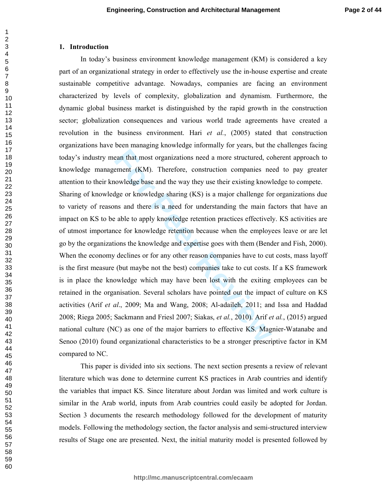#### **1. Introduction**

ean that most organizations need a more structured, coment (KM). Therefore, construction companies ne lowledge base and the way they use their existing know lige or knowledge sharing (KS) is a major challenge fo ms and the In today's business environment knowledge management (KM) is considered a key part of an organizational strategy in order to effectively use the in-house expertise and create sustainable competitive advantage. Nowadays, companies are facing an environment characterized by levels of complexity, globalization and dynamism. Furthermore, the dynamic global business market is distinguished by the rapid growth in the construction sector; globalization consequences and various world trade agreements have created a revolution in the business environment. Hari *et al.*, (2005) stated that construction organizations have been managing knowledge informally for years, but the challenges facing today's industry mean that most organizations need a more structured, coherent approach to knowledge management (KM). Therefore, construction companies need to pay greater attention to their knowledge base and the way they use their existing knowledge to compete. Sharing of knowledge or knowledge sharing (KS) is a major challenge for organizations due to variety of reasons and there is a need for understanding the main factors that have an impact on KS to be able to apply knowledge retention practices effectively. KS activities are of utmost importance for knowledge retention because when the employees leave or are let go by the organizations the knowledge and expertise goes with them (Bender and Fish, 2000). When the economy declines or for any other reason companies have to cut costs, mass layoff is the first measure (but maybe not the best) companies take to cut costs. If a KS framework is in place the knowledge which may have been lost with the exiting employees can be retained in the organisation. Several scholars have pointed out the impact of culture on KS activities (Arif *et al*., 2009; Ma and Wang, 2008; Al-adaileh, 2011; and Issa and Haddad 2008; Riega 2005; Sackmann and Friesl 2007; Siakas, *et al.*, 2010). Arif *et al.*, (2015) argued national culture (NC) as one of the major barriers to effective KS. Magnier-Watanabe and Senoo (2010) found organizational characteristics to be a stronger prescriptive factor in KM compared to NC.

 This paper is divided into six sections. The next section presents a review of relevant literature which was done to determine current KS practices in Arab countries and identify the variables that impact KS. Since literature about Jordan was limited and work culture is similar in the Arab world, inputs from Arab countries could easily be adopted for Jordan. Section 3 documents the research methodology followed for the development of maturity models. Following the methodology section, the factor analysis and semi-structured interview results of Stage one are presented. Next, the initial maturity model is presented followed by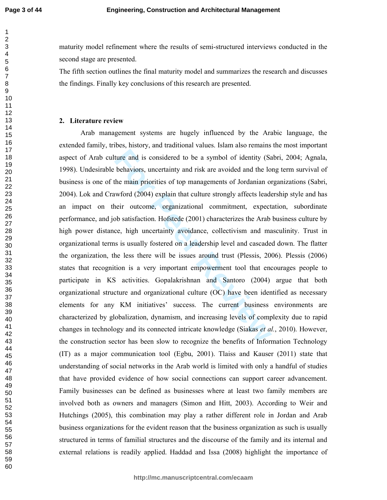maturity model refinement where the results of semi-structured interviews conducted in the second stage are presented.

The fifth section outlines the final maturity model and summarizes the research and discusses the findings. Finally key conclusions of this research are presented.

## **2. Literature review**

ture and is considered to be a symbol of identity (Sa<br>behaviors, uncertainty and risk are avoided and the loi<br>he main priorities of top managements of Jordanian on<br>word (2004) explain that culture strongly affects leade<br>ne Arab management systems are hugely influenced by the Arabic language, the extended family, tribes, history, and traditional values. Islam also remains the most important aspect of Arab culture and is considered to be a symbol of identity (Sabri, 2004; Agnala, 1998). Undesirable behaviors, uncertainty and risk are avoided and the long term survival of business is one of the main priorities of top managements of Jordanian organizations (Sabri, 2004). Lok and Crawford (2004) explain that culture strongly affects leadership style and has an impact on their outcome, organizational commitment, expectation, subordinate performance, and job satisfaction. Hofstede (2001) characterizes the Arab business culture by high power distance, high uncertainty avoidance, collectivism and masculinity. Trust in organizational terms is usually fostered on a leadership level and cascaded down. The flatter the organization, the less there will be issues around trust (Plessis, 2006). Plessis (2006) states that recognition is a very important empowerment tool that encourages people to participate in KS activities. Gopalakrishnan and Santoro (2004) argue that both organizational structure and organizational culture (OC) have been identified as necessary elements for any KM initiatives' success. The current business environments are characterized by globalization, dynamism, and increasing levels of complexity due to rapid changes in technology and its connected intricate knowledge (Siakas *et al.*, 2010). However, the construction sector has been slow to recognize the benefits of Information Technology (IT) as a major communication tool (Egbu, 2001). Tlaiss and Kauser (2011) state that understanding of social networks in the Arab world is limited with only a handful of studies that have provided evidence of how social connections can support career advancement. Family businesses can be defined as businesses where at least two family members are involved both as owners and managers (Simon and Hitt, 2003). According to Weir and Hutchings (2005), this combination may play a rather different role in Jordan and Arab business organizations for the evident reason that the business organization as such is usually structured in terms of familial structures and the discourse of the family and its internal and external relations is readily applied. Haddad and Issa (2008) highlight the importance of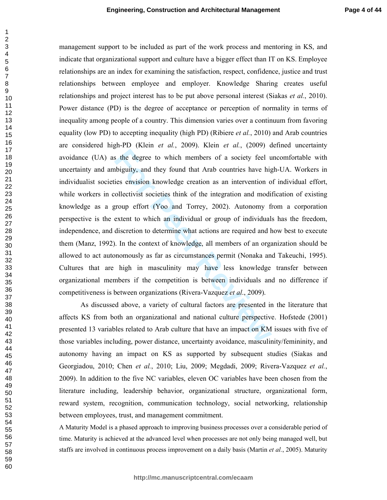**Follow 1** state degree to which members of a society feel u biguity, and they found that Arab countries have hightign and the model of the integration and modific envision knowledge creation as an intervention of ollecti management support to be included as part of the work process and mentoring in KS, and indicate that organizational support and culture have a bigger effect than IT on KS. Employee relationships are an index for examining the satisfaction, respect, confidence, justice and trust relationships between employee and employer. Knowledge Sharing creates useful relationships and project interest has to be put above personal interest (Siakas *et al.*, 2010). Power distance (PD) is the degree of acceptance or perception of normality in terms of inequality among people of a country. This dimension varies over a continuum from favoring equality (low PD) to accepting inequality (high PD) (Ribiere *et al.*, 2010) and Arab countries are considered high-PD (Klein *et al.*, 2009). Klein *et al.*, (2009) defined uncertainty avoidance (UA) as the degree to which members of a society feel uncomfortable with uncertainty and ambiguity, and they found that Arab countries have high-UA. Workers in individualist societies envision knowledge creation as an intervention of individual effort, while workers in collectivist societies think of the integration and modification of existing knowledge as a group effort (Yoo and Torrey, 2002). Autonomy from a corporation perspective is the extent to which an individual or group of individuals has the freedom, independence, and discretion to determine what actions are required and how best to execute them (Manz, 1992). In the context of knowledge, all members of an organization should be allowed to act autonomously as far as circumstances permit (Nonaka and Takeuchi, 1995). Cultures that are high in masculinity may have less knowledge transfer between organizational members if the competition is between individuals and no difference if competitiveness is between organizations (Rivera-Vazquez *et al*., 2009).

 As discussed above, a variety of cultural factors are presented in the literature that affects KS from both an organizational and national culture perspective. Hofstede (2001) presented 13 variables related to Arab culture that have an impact on KM issues with five of those variables including, power distance, uncertainty avoidance, masculinity/femininity, and autonomy having an impact on KS as supported by subsequent studies (Siakas and Georgiadou, 2010; Chen *et al.*, 2010; Liu, 2009; Megdadi, 2009; Rivera-Vazquez *et al.*, 2009). In addition to the five NC variables, eleven OC variables have been chosen from the literature including, leadership behavior, organizational structure, organizational form, reward system, recognition, communication technology, social networking, relationship between employees, trust, and management commitment.

A Maturity Model is a phased approach to improving business processes over a considerable period of time. Maturity is achieved at the advanced level when processes are not only being managed well, but staffs are involved in continuous process improvement on a daily basis (Martin *et al.*, 2005). Maturity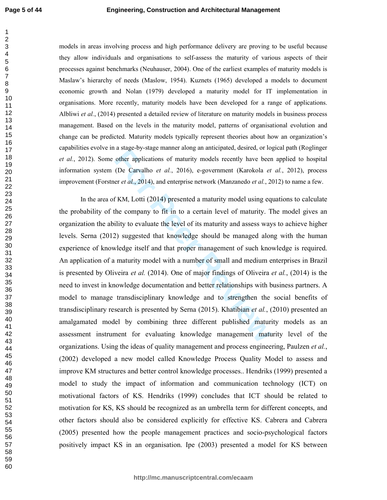$\mathbf{1}$ 

models in areas involving process and high performance delivery are proving to be useful because they allow individuals and organisations to self-assess the maturity of various aspects of their processes against benchmarks (Neuhauser, 2004). One of the earliest examples of maturity models is Maslaw's hierarchy of needs (Maslow, 1954). Kuznets (1965) developed a models to document economic growth and Nolan (1979) developed a maturity model for IT implementation in organisations. More recently, maturity models have been developed for a range of applications. Albliwi *et al.*, (2014) presented a detailed review of literature on maturity models in business process management. Based on the levels in the maturity model, patterns of organisational evolution and change can be predicted. Maturity models typically represent theories about how an organization's capabilities evolve in a stage-by-stage manner along an anticipated, desired, or logical path (Roglinger *et al.*, 2012). Some other applications of maturity models recently have been applied to hospital information system (De Carvalho *et al.*, 2016), e-government (Karokola *et al.*, 2012), process improvement (Forstner *et al.*, 2014), and enterprise network (Manzanedo *et al.*, 2012) to name a few.

a sage-by-stage manner along an anticipact, desired, of 10,<br>other applications of maturity models recently have beer<br>(De Carvalho *et al.*, 2016), e-government (Karokola *et*<br>er *et al.*, 2014), and enterprise network (Man In the area of KM, Lotti (2014) presented a maturity model using equations to calculate the probability of the company to fit in to a certain level of maturity. The model gives an organization the ability to evaluate the level of its maturity and assess ways to achieve higher levels. Serna (2012) suggested that knowledge should be managed along with the human experience of knowledge itself and that proper management of such knowledge is required. An application of a maturity model with a number of small and medium enterprises in Brazil is presented by Oliveira *et al.* (2014). One of major findings of Oliveira *et al.*, (2014) is the need to invest in knowledge documentation and better relationships with business partners. A model to manage transdisciplinary knowledge and to strengthen the social benefits of transdisciplinary research is presented by Serna (2015). Khatibian *et al.*, (2010) presented an amalgamated model by combining three different published maturity models as an assessment instrument for evaluating knowledge management maturity level of the organizations. Using the ideas of quality management and process engineering, Paulzen *et al.*, (2002) developed a new model called Knowledge Process Quality Model to assess and improve KM structures and better control knowledge processes.. Hendriks (1999) presented a model to study the impact of information and communication technology (ICT) on motivational factors of KS. Hendriks (1999) concludes that ICT should be related to motivation for KS, KS should be recognized as an umbrella term for different concepts, and other factors should also be considered explicitly for effective KS. Cabrera and Cabrera (2005) presented how the people management practices and socio-psychological factors positively impact KS in an organisation. Ipe (2003) presented a model for KS between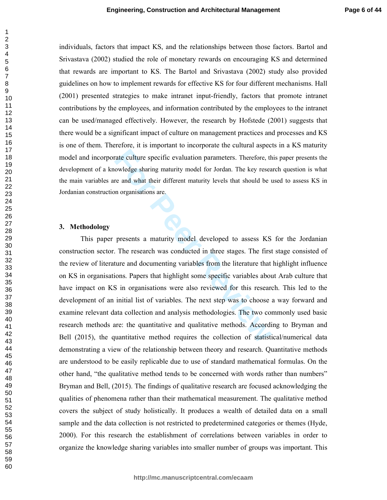individuals, factors that impact KS, and the relationships between those factors. Bartol and Srivastava (2002) studied the role of monetary rewards on encouraging KS and determined that rewards are important to KS. The Bartol and Srivastava (2002) study also provided guidelines on how to implement rewards for effective KS for four different mechanisms. Hall (2001) presented strategies to make intranet input-friendly, factors that promote intranet contributions by the employees, and information contributed by the employees to the intranet can be used/managed effectively. However, the research by Hofstede (2001) suggests that there would be a significant impact of culture on management practices and processes and KS is one of them. Therefore, it is important to incorporate the cultural aspects in a KS maturity model and incorporate culture specific evaluation parameters. Therefore, this paper presents the development of a knowledge sharing maturity model for Jordan. The key research question is what the main variables are and what their different maturity levels that should be used to assess KS in Jordanian construction organisations are.

#### **3. Methodology**

rate culture specific evaluation parameters. Therefore, the weledge sharing maturity model for Jordan. The key researe and what their different maturity levels that should be un organisations are.<br> **For Persuary Section** a This paper presents a maturity model developed to assess KS for the Jordanian construction sector. The research was conducted in three stages. The first stage consisted of the review of literature and documenting variables from the literature that highlight influence on KS in organisations. Papers that highlight some specific variables about Arab culture that have impact on KS in organisations were also reviewed for this research. This led to the development of an initial list of variables. The next step was to choose a way forward and examine relevant data collection and analysis methodologies. The two commonly used basic research methods are: the quantitative and qualitative methods. According to Bryman and Bell (2015), the quantitative method requires the collection of statistical/numerical data demonstrating a view of the relationship between theory and research. Quantitative methods are understood to be easily replicable due to use of standard mathematical formulas. On the other hand, "the qualitative method tends to be concerned with words rather than numbers" Bryman and Bell, (2015). The findings of qualitative research are focused acknowledging the qualities of phenomena rather than their mathematical measurement. The qualitative method covers the subject of study holistically. It produces a wealth of detailed data on a small sample and the data collection is not restricted to predetermined categories or themes (Hyde, 2000). For this research the establishment of correlations between variables in order to organize the knowledge sharing variables into smaller number of groups was important. This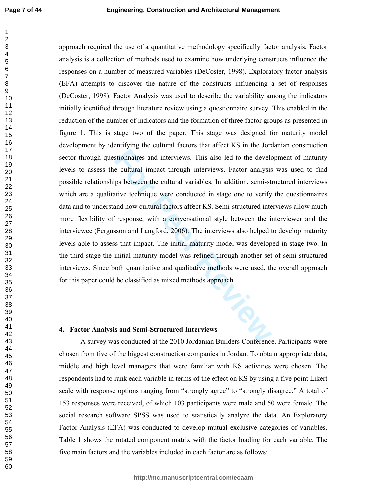**Page 7 of 44**

 $\mathbf{1}$ 

stionnaires and interviews. This also led to the develond e cultural impact through interviews. Factor analysis<br>figs between the cultural variables. In addition, semi-structive technique were conducted in stage one to veri approach required the use of a quantitative methodology specifically factor analysis. Factor analysis is a collection of methods used to examine how underlying constructs influence the responses on a number of measured variables (DeCoster, 1998). Exploratory factor analysis (EFA) attempts to discover the nature of the constructs influencing a set of responses (DeCoster, 1998). Factor Analysis was used to describe the variability among the indicators initially identified through literature review using a questionnaire survey. This enabled in the reduction of the number of indicators and the formation of three factor groups as presented in figure 1. This is stage two of the paper. This stage was designed for maturity model development by identifying the cultural factors that affect KS in the Jordanian construction sector through questionnaires and interviews. This also led to the development of maturity levels to assess the cultural impact through interviews. Factor analysis was used to find possible relationships between the cultural variables. In addition, semi-structured interviews which are a qualitative technique were conducted in stage one to verify the questionnaires data and to understand how cultural factors affect KS. Semi-structured interviews allow much more flexibility of response, with a conversational style between the interviewer and the interviewee (Fergusson and Langford, 2006). The interviews also helped to develop maturity levels able to assess that impact. The initial maturity model was developed in stage two. In the third stage the initial maturity model was refined through another set of semi-structured interviews. Since both quantitative and qualitative methods were used, the overall approach for this paper could be classified as mixed methods approach.

## **4. Factor Analysis and Semi-Structured Interviews**

 A survey was conducted at the 2010 Jordanian Builders Conference. Participants were chosen from five of the biggest construction companies in Jordan. To obtain appropriate data, middle and high level managers that were familiar with KS activities were chosen. The respondents had to rank each variable in terms of the effect on KS by using a five point Likert scale with response options ranging from "strongly agree" to "strongly disagree." A total of 153 responses were received, of which 103 participants were male and 50 were female. The social research software SPSS was used to statistically analyze the data. An Exploratory Factor Analysis (EFA) was conducted to develop mutual exclusive categories of variables. Table 1 shows the rotated component matrix with the factor loading for each variable. The five main factors and the variables included in each factor are as follows: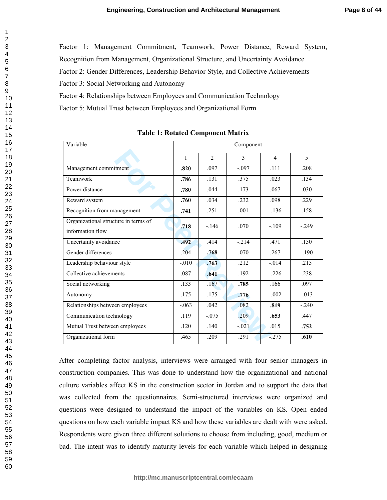Factor 1: Management Commitment, Teamwork, Power Distance, Reward System, Recognition from Management, Organizational Structure, and Uncertainty Avoidance Factor 2: Gender Differences, Leadership Behavior Style, and Collective Achievements

Factor 3: Social Networking and Autonomy

Factor 4: Relationships between Employees and Communication Technology

Factor 5: Mutual Trust between Employees and Organizational Form

| Variable                                                 | Component |                |         |                |         |
|----------------------------------------------------------|-----------|----------------|---------|----------------|---------|
|                                                          | 1         | $\overline{2}$ | 3       | $\overline{4}$ | 5       |
| Management commitment                                    | .820      | .097           | $-.097$ | .111           | .208    |
| Teamwork                                                 | .786      | .131           | .375    | .023           | .134    |
| Power distance                                           | .780      | .044           | .173    | .067           | .030    |
| Reward system                                            | .760      | .034           | .232    | .098           | .229    |
| Recognition from management                              | .741      | .251           | .001    | $-.136$        | .158    |
| Organizational structure in terms of<br>information flow | .718      | $-.146$        | .070    | $-.109$        | $-.249$ |
| Uncertainty avoidance                                    | .492      | .414           | $-214$  | .471           | .150    |
| Gender differences                                       | .204      | .768           | .070    | .267           | $-.190$ |
| Leadership behaviour style                               | $-.010$   | .763           | .212    | $-.014$        | .215    |
| Collective achievements                                  | .087      | .641           | .192    | $-.226$        | .238    |
| Social networking                                        | .133      | .167           | .785    | .166           | .097    |
| Autonomy                                                 | .175      | .175           | .776    | $-.002$        | $-.013$ |
| Relationships between employees                          | $-.063$   | .042           | .082    | .819           | $-.240$ |
| Communication technology                                 | .119      | $-.075$        | .209    | .653           | .447    |
| Mutual Trust between employees                           | .120      | .140           | $-.021$ | .015           | .752    |
| Organizational form                                      | .465      | .209           | .291    | $-275$         | .610    |

**Table 1: Rotated Component Matrix** 

After completing factor analysis, interviews were arranged with four senior managers in construction companies. This was done to understand how the organizational and national culture variables affect KS in the construction sector in Jordan and to support the data that was collected from the questionnaires. Semi-structured interviews were organized and questions were designed to understand the impact of the variables on KS. Open ended questions on how each variable impact KS and how these variables are dealt with were asked. Respondents were given three different solutions to choose from including, good, medium or bad. The intent was to identify maturity levels for each variable which helped in designing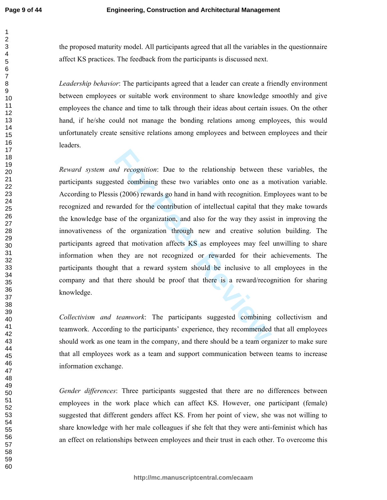the proposed maturity model. All participants agreed that all the variables in the questionnaire affect KS practices. The feedback from the participants is discussed next.

*Leadership behavior*: The participants agreed that a leader can create a friendly environment between employees or suitable work environment to share knowledge smoothly and give employees the chance and time to talk through their ideas about certain issues. On the other hand, if he/she could not manage the bonding relations among employees, this would unfortunately create sensitive relations among employees and between employees and their leaders.

*nd recognition*: Due to the relationship between the red combining these two variables onto one as a m is (2006) rewards go hand in hand with recognition. Envarded for the contribution of intellectual capital that e of th *Reward system and recognition*: Due to the relationship between these variables, the participants suggested combining these two variables onto one as a motivation variable. According to Plessis (2006) rewards go hand in hand with recognition. Employees want to be recognized and rewarded for the contribution of intellectual capital that they make towards the knowledge base of the organization, and also for the way they assist in improving the innovativeness of the organization through new and creative solution building. The participants agreed that motivation affects KS as employees may feel unwilling to share information when they are not recognized or rewarded for their achievements. The participants thought that a reward system should be inclusive to all employees in the company and that there should be proof that there is a reward/recognition for sharing knowledge.

*Collectivism and teamwork*: The participants suggested combining collectivism and teamwork. According to the participants' experience, they recommended that all employees should work as one team in the company, and there should be a team organizer to make sure that all employees work as a team and support communication between teams to increase information exchange.

*Gender differences*: Three participants suggested that there are no differences between employees in the work place which can affect KS. However, one participant (female) suggested that different genders affect KS. From her point of view, she was not willing to share knowledge with her male colleagues if she felt that they were anti-feminist which has an effect on relationships between employees and their trust in each other. To overcome this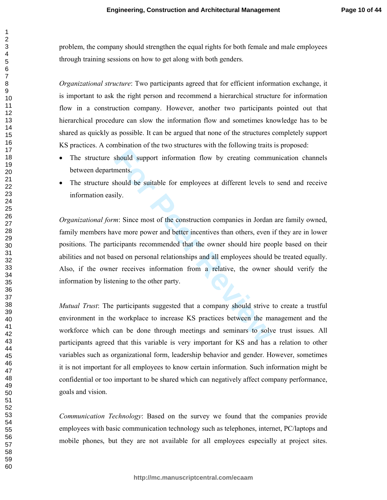problem, the company should strengthen the equal rights for both female and male employees through training sessions on how to get along with both genders.

*Organizational structure*: Two participants agreed that for efficient information exchange, it is important to ask the right person and recommend a hierarchical structure for information flow in a construction company. However, another two participants pointed out that hierarchical procedure can slow the information flow and sometimes knowledge has to be shared as quickly as possible. It can be argued that none of the structures completely support KS practices. A combination of the two structures with the following traits is proposed:

- The structure should support information flow by creating communication channels between departments.
- The structure should be suitable for employees at different levels to send and receive information easily.

should support information flow by creating comm<br>ments.<br> **For All and All and All and All and All and All and All and All and We more power and better incentives than others, even<br>
review more power and better incentives t** *Organizational form*: Since most of the construction companies in Jordan are family owned, family members have more power and better incentives than others, even if they are in lower positions. The participants recommended that the owner should hire people based on their abilities and not based on personal relationships and all employees should be treated equally. Also, if the owner receives information from a relative, the owner should verify the information by listening to the other party.

*Mutual Trust*: The participants suggested that a company should strive to create a trustful environment in the workplace to increase KS practices between the management and the workforce which can be done through meetings and seminars to solve trust issues. All participants agreed that this variable is very important for KS and has a relation to other variables such as organizational form, leadership behavior and gender. However, sometimes it is not important for all employees to know certain information. Such information might be confidential or too important to be shared which can negatively affect company performance, goals and vision.

*Communication Technology*: Based on the survey we found that the companies provide employees with basic communication technology such as telephones, internet, PC/laptops and mobile phones, but they are not available for all employees especially at project sites.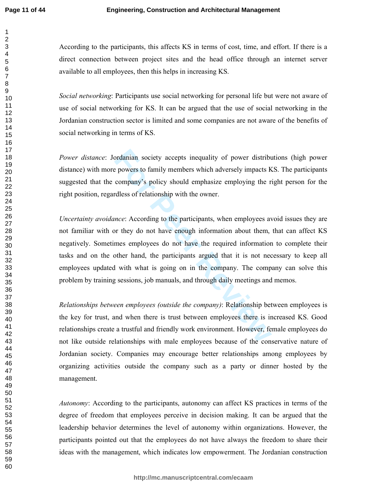According to the participants, this affects KS in terms of cost, time, and effort. If there is a direct connection between project sites and the head office through an internet server available to all employees, then this helps in increasing KS.

*Social networking*: Participants use social networking for personal life but were not aware of use of social networking for KS. It can be argued that the use of social networking in the Jordanian construction sector is limited and some companies are not aware of the benefits of social networking in terms of KS.

*Power distance*: Jordanian society accepts inequality of power distributions (high power distance) with more powers to family members which adversely impacts KS. The participants suggested that the company's policy should emphasize employing the right person for the right position, regardless of relationship with the owner.

ordanian society accepts inequality of power distribute powers to family members which adversely impacts K company's policy should emphasize employing the r rdless of relationship with the owner.<br> *Ince*: According to the *Uncertainty avoidance*: According to the participants, when employees avoid issues they are not familiar with or they do not have enough information about them, that can affect KS negatively. Sometimes employees do not have the required information to complete their tasks and on the other hand, the participants argued that it is not necessary to keep all employees updated with what is going on in the company. The company can solve this problem by training sessions, job manuals, and through daily meetings and memos.

*Relationships between employees (outside the company)*: Relationship between employees is the key for trust, and when there is trust between employees there is increased KS. Good relationships create a trustful and friendly work environment. However, female employees do not like outside relationships with male employees because of the conservative nature of Jordanian society. Companies may encourage better relationships among employees by organizing activities outside the company such as a party or dinner hosted by the management.

*Autonomy*: According to the participants, autonomy can affect KS practices in terms of the degree of freedom that employees perceive in decision making. It can be argued that the leadership behavior determines the level of autonomy within organizations. However, the participants pointed out that the employees do not have always the freedom to share their ideas with the management, which indicates low empowerment. The Jordanian construction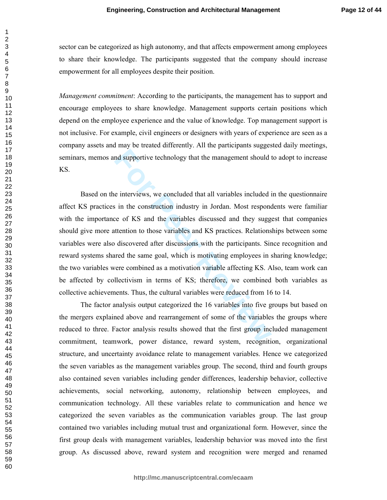sector can be categorized as high autonomy, and that affects empowerment among employees to share their knowledge. The participants suggested that the company should increase empowerment for all employees despite their position.

*Management commitment*: According to the participants, the management has to support and encourage employees to share knowledge. Management supports certain positions which depend on the employee experience and the value of knowledge. Top management support is not inclusive. For example, civil engineers or designers with years of experience are seen as a company assets and may be treated differently. All the participants suggested daily meetings, seminars, memos and supportive technology that the management should to adopt to increase KS.

and supportive technology that the management should to<br>is in the construction industry in Jordan. Most response of KS and the variables discussed and they suggettention to those variables and KS practices. Relations disco Based on the interviews, we concluded that all variables included in the questionnaire affect KS practices in the construction industry in Jordan. Most respondents were familiar with the importance of KS and the variables discussed and they suggest that companies should give more attention to those variables and KS practices. Relationships between some variables were also discovered after discussions with the participants. Since recognition and reward systems shared the same goal, which is motivating employees in sharing knowledge; the two variables were combined as a motivation variable affecting KS. Also, team work can be affected by collectivism in terms of KS; therefore, we combined both variables as collective achievements. Thus, the cultural variables were reduced from 16 to 14.

 The factor analysis output categorized the 16 variables into five groups but based on the mergers explained above and rearrangement of some of the variables the groups where reduced to three. Factor analysis results showed that the first group included management commitment, teamwork, power distance, reward system, recognition, organizational structure, and uncertainty avoidance relate to management variables. Hence we categorized the seven variables as the management variables group. The second, third and fourth groups also contained seven variables including gender differences, leadership behavior, collective achievements, social networking, autonomy, relationship between employees, and communication technology. All these variables relate to communication and hence we categorized the seven variables as the communication variables group. The last group contained two variables including mutual trust and organizational form. However, since the first group deals with management variables, leadership behavior was moved into the first group. As discussed above, reward system and recognition were merged and renamed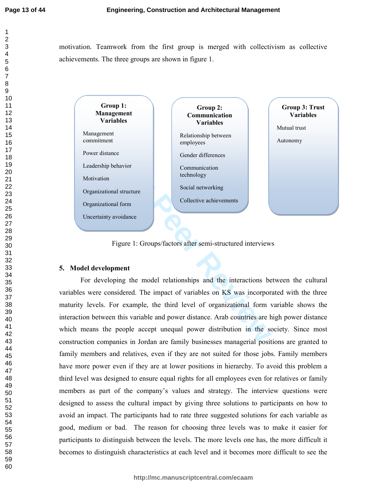motivation. Teamwork from the first group is merged with collectivism as collective achievements. The three groups are shown in figure 1.



# **5. Model development**

 For developing the model relationships and the interactions between the cultural variables were considered. The impact of variables on KS was incorporated with the three maturity levels. For example, the third level of organizational form variable shows the interaction between this variable and power distance. Arab countries are high power distance which means the people accept unequal power distribution in the society. Since most construction companies in Jordan are family businesses managerial positions are granted to family members and relatives, even if they are not suited for those jobs. Family members have more power even if they are at lower positions in hierarchy. To avoid this problem a third level was designed to ensure equal rights for all employees even for relatives or family members as part of the company's values and strategy. The interview questions were designed to assess the cultural impact by giving three solutions to participants on how to avoid an impact. The participants had to rate three suggested solutions for each variable as good, medium or bad. The reason for choosing three levels was to make it easier for participants to distinguish between the levels. The more levels one has, the more difficult it becomes to distinguish characteristics at each level and it becomes more difficult to see the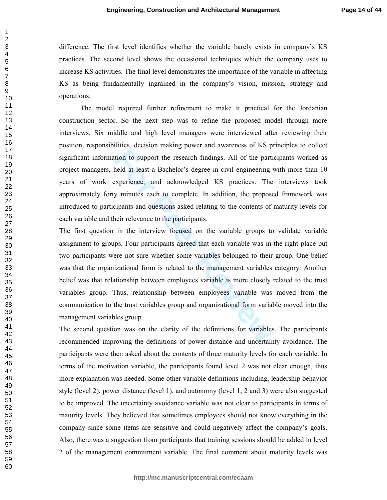difference. The first level identifies whether the variable barely exists in company's KS practices. The second level shows the occasional techniques which the company uses to increase KS activities. The final level demonstrates the importance of the variable in affecting KS as being fundamentally ingrained in the company's vision, mission, strategy and operations.

 The model required further refinement to make it practical for the Jordanian construction sector. So the next step was to refine the proposed model through more interviews. Six middle and high level managers were interviewed after reviewing their position, responsibilities, decision making power and awareness of KS principles to collect significant information to support the research findings. All of the participants worked as project managers, held at least a Bachelor's degree in civil engineering with more than 10 years of work experience, and acknowledged KS practices. The interviews took approximately forty minutes each to complete. In addition, the proposed framework was introduced to participants and questions asked relating to the contents of maturity levels for each variable and their relevance to the participants.

<sup>1</sup><br>**Formulation** to support the research findings. All of the part<br>held at least a Bachelor's degree in civil engineering<br>experience, and acknowledged KS practices. The<br>y minutes each to complete. In addition, the propos-The first question in the interview focused on the variable groups to validate variable assignment to groups. Four participants agreed that each variable was in the right place but two participants were not sure whether some variables belonged to their group. One belief was that the organizational form is related to the management variables category. Another belief was that relationship between employees variable is more closely related to the trust variables group. Thus, relationship between employees variable was moved from the communication to the trust variables group and organizational form variable moved into the management variables group.

The second question was on the clarity of the definitions for variables. The participants recommended improving the definitions of power distance and uncertainty avoidance. The participants were then asked about the contents of three maturity levels for each variable. In terms of the motivation variable, the participants found level 2 was not clear enough, thus more explanation was needed. Some other variable definitions including, leadership behavior style (level 2), power distance (level 1), and autonomy (level 1, 2 and 3) were also suggested to be improved. The uncertainty avoidance variable was not clear to participants in terms of maturity levels. They believed that sometimes employees should not know everything in the company since some items are sensitive and could negatively affect the company's goals. Also, there was a suggestion from participants that training sessions should be added in level 2 of the management commitment variable. The final comment about maturity levels was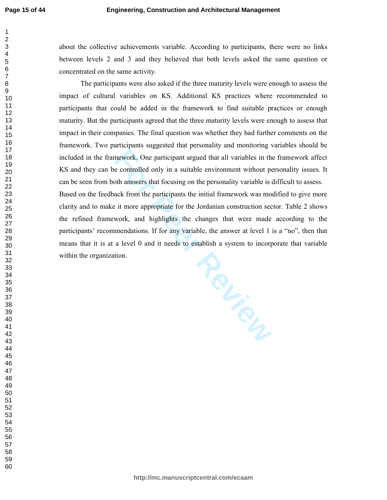about the collective achievements variable. According to participants, there were no links between levels 2 and 3 and they believed that both levels asked the same question or concentrated on the same activity.

 The participants were also asked if the three maturity levels were enough to assess the impact of cultural variables on KS. Additional KS practices where recommended to participants that could be added in the framework to find suitable practices or enough maturity. But the participants agreed that the three maturity levels were enough to assess that impact in their companies. The final question was whether they had further comments on the framework. Two participants suggested that personality and monitoring variables should be included in the framework. One participant argued that all variables in the framework affect KS and they can be controlled only in a suitable environment without personality issues. It can be seen from both answers that focusing on the personality variable is difficult to assess. Based on the feedback from the participants the initial framework was modified to give more clarity and to make it more appropriate for the Jordanian construction sector. Table 2 shows the refined framework, and highlights the changes that were made according to the participants' recommendations. If for any variable, the answer at level 1 is a "no", then that means that it is at a level 0 and it needs to establish a system to incorporate that variable within the organization.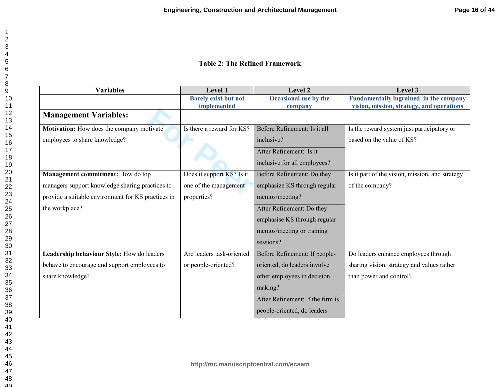# **Table 2: The Refined Framework**

| <b>Variables</b>                                   | Level 1                     | Level 2                          | Level 3                                         |
|----------------------------------------------------|-----------------------------|----------------------------------|-------------------------------------------------|
|                                                    | <b>Barely exist but not</b> | Occasional use by the            | <b>Fundamentally ingrained in the company</b>   |
|                                                    | implemented                 | company                          | vision, mission, strategy, and operations       |
| <b>Management Variables:</b>                       |                             |                                  |                                                 |
| Motivation: How does the company motivate          | Is there a reward for KS?   | Before Refinement: Is it all     | Is the reward system just participatory or      |
| employees to share knowledge?                      |                             | inclusive?                       | based on the value of KS?                       |
|                                                    |                             | After Refinement: Is it          |                                                 |
|                                                    |                             | inclusive for all employees?     |                                                 |
| Management commitment: How do top                  | Does it support KS? Is it   | Before Refinement: Do they       | Is it part of the vision, mission, and strategy |
| managers support knowledge sharing practices to    | one of the management       | emphasize KS through regular     | of the company?                                 |
| provide a suitable environment for KS practices in | properties?                 | memos/meeting?                   |                                                 |
| the workplace?                                     |                             | After Refinement: Do they        |                                                 |
|                                                    |                             | emphasise KS through regular     |                                                 |
|                                                    |                             | memos/meeting or training        |                                                 |
|                                                    |                             | sessions?                        |                                                 |
| Leadership behaviour Style: How do leaders         | Are leaders task-oriented   | Before Refinement: If people-    | Do leaders enhance employees through            |
| behave to encourage and support employees to       | or people-oriented?         | oriented, do leaders involve     | sharing vision, strategy and values rather      |
| share knowledge?                                   |                             | other employees in decision      | than power and control?                         |
|                                                    |                             | making?                          |                                                 |
|                                                    |                             | After Refinement: If the firm is |                                                 |
|                                                    |                             | people-oriented, do leaders      |                                                 |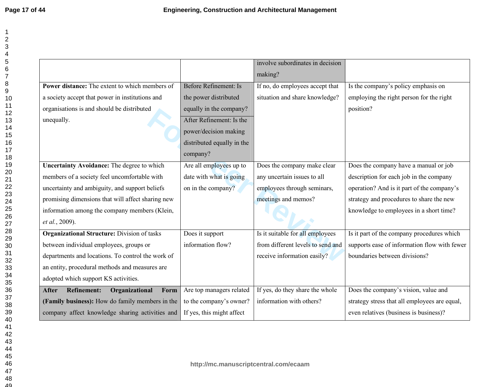12

|                                                       |                            | involve subordinates in decision  |                                               |
|-------------------------------------------------------|----------------------------|-----------------------------------|-----------------------------------------------|
|                                                       |                            | making?                           |                                               |
| <b>Power distance:</b> The extent to which members of | Before Refinement: Is      | If no, do employees accept that   | Is the company's policy emphasis on           |
| a society accept that power in institutions and       | the power distributed      | situation and share knowledge?    | employing the right person for the right      |
| organisations is and should be distributed            | equally in the company?    |                                   | position?                                     |
| unequally.                                            | After Refinement: Is the   |                                   |                                               |
|                                                       | power/decision making      |                                   |                                               |
|                                                       | distributed equally in the |                                   |                                               |
|                                                       | company?                   |                                   |                                               |
| Uncertainty Avoidance: The degree to which            | Are all employees up to    | Does the company make clear       | Does the company have a manual or job         |
| members of a society feel uncomfortable with          | date with what is going    | any uncertain issues to all       | description for each job in the company       |
| uncertainty and ambiguity, and support beliefs        | on in the company?         | employees through seminars,       | operation? And is it part of the company's    |
| promising dimensions that will affect sharing new     |                            | meetings and memos?               | strategy and procedures to share the new      |
| information among the company members (Klein,         |                            |                                   | knowledge to employees in a short time?       |
| <i>et al.</i> , 2009).                                |                            |                                   |                                               |
| <b>Organizational Structure:</b> Division of tasks    | Does it support            | Is it suitable for all employees  | Is it part of the company procedures which    |
| between individual employees, groups or               | information flow?          | from different levels to send and | supports ease of information flow with fewer  |
| departments and locations. To control the work of     |                            | receive information easily?       | boundaries between divisions?                 |
| an entity, procedural methods and measures are        |                            |                                   |                                               |
| adopted which support KS activities.                  |                            |                                   |                                               |
| <b>Refinement:</b><br>Organizational<br>Form<br>After | Are top managers related   | If yes, do they share the whole   | Does the company's vision, value and          |
| (Family business): How do family members in the       | to the company's owner?    | information with others?          | strategy stress that all employees are equal, |
| company affect knowledge sharing activities and       | If yes, this might affect  |                                   | even relatives (business is business)?        |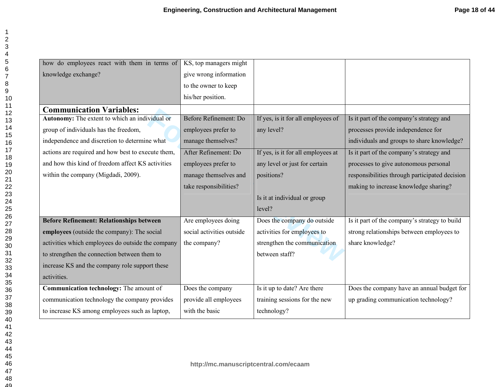| how do employees react with them in terms of       | KS, top managers might    |                                    |                                                |
|----------------------------------------------------|---------------------------|------------------------------------|------------------------------------------------|
| knowledge exchange?                                | give wrong information    |                                    |                                                |
|                                                    | to the owner to keep      |                                    |                                                |
|                                                    | his/her position.         |                                    |                                                |
| <b>Communication Variables:</b>                    |                           |                                    |                                                |
| Autonomy: The extent to which an individual or     | Before Refinement: Do     | If yes, is it for all employees of | Is it part of the company's strategy and       |
| group of individuals has the freedom,              | employees prefer to       | any level?                         | processes provide independence for             |
| independence and discretion to determine what      | manage themselves?        |                                    | individuals and groups to share knowledge?     |
| actions are required and how best to execute them, | After Refinement: Do      | If yes, is it for all employees at | Is it part of the company's strategy and       |
| and how this kind of freedom affect KS activities  | employees prefer to       | any level or just for certain      | processes to give autonomous personal          |
| within the company (Migdadi, 2009).                | manage themselves and     | positions?                         | responsibilities through participated decision |
|                                                    | take responsibilities?    |                                    | making to increase knowledge sharing?          |
|                                                    |                           | Is it at individual or group       |                                                |
|                                                    |                           | level?                             |                                                |
| <b>Before Refinement: Relationships between</b>    | Are employees doing       | Does the company do outside        | Is it part of the company's strategy to build  |
| employees (outside the company): The social        | social activities outside | activities for employees to        | strong relationships between employees to      |
| activities which employees do outside the company  | the company?              | strengthen the communication       | share knowledge?                               |
| to strengthen the connection between them to       |                           | between staff?                     |                                                |
| increase KS and the company role support these     |                           |                                    |                                                |
| activities.                                        |                           |                                    |                                                |
| <b>Communication technology:</b> The amount of     | Does the company          | Is it up to date? Are there        | Does the company have an annual budget for     |
| communication technology the company provides      | provide all employees     | training sessions for the new      | up grading communication technology?           |
| to increase KS among employees such as laptop,     | with the basic            | technology?                        |                                                |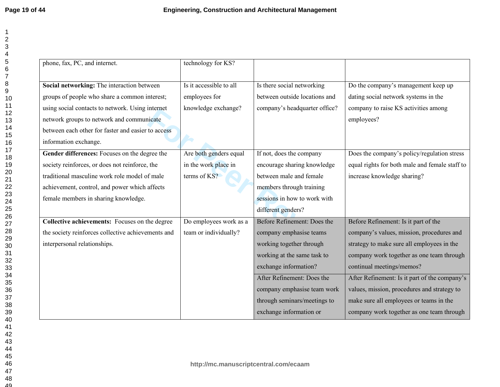12

| phone, fax, PC, and internet.                      | technology for KS?      |                               |                                                |
|----------------------------------------------------|-------------------------|-------------------------------|------------------------------------------------|
|                                                    |                         |                               |                                                |
| Social networking: The interaction between         | Is it accessible to all | Is there social networking    | Do the company's management keep up            |
| groups of people who share a common interest;      | employees for           | between outside locations and | dating social network systems in the           |
| using social contacts to network. Using internet   | knowledge exchange?     | company's headquarter office? | company to raise KS activities among           |
| network groups to network and communicate          |                         |                               | employees?                                     |
| between each other for faster and easier to access |                         |                               |                                                |
| information exchange.                              |                         |                               |                                                |
| Gender differences: Focuses on the degree the      | Are both genders equal  | If not, does the company      | Does the company's policy/regulation stress    |
| society reinforces, or does not reinforce, the     | in the work place in    | encourage sharing knowledge   | equal rights for both male and female staff to |
| traditional masculine work role model of male      | terms of KS?            | between male and female       | increase knowledge sharing?                    |
| achievement, control, and power which affects      |                         | members through training      |                                                |
| female members in sharing knowledge.               |                         | sessions in how to work with  |                                                |
|                                                    |                         | different genders?            |                                                |
| Collective achievements: Focuses on the degree     | Do employees work as a  | Before Refinement: Does the   | Before Refinement: Is it part of the           |
| the society reinforces collective achievements and | team or individually?   | company emphasise teams       | company's values, mission, procedures and      |
| interpersonal relationships.                       |                         | working together through      | strategy to make sure all employees in the     |
|                                                    |                         | working at the same task to   | company work together as one team through      |
|                                                    |                         | exchange information?         | continual meetings/memos?                      |
|                                                    |                         | After Refinement: Does the    | After Refinement: Is it part of the company's  |
|                                                    |                         | company emphasise team work   | values, mission, procedures and strategy to    |
|                                                    |                         | through seminars/meetings to  | make sure all employees or teams in the        |
|                                                    |                         | exchange information or       | company work together as one team through      |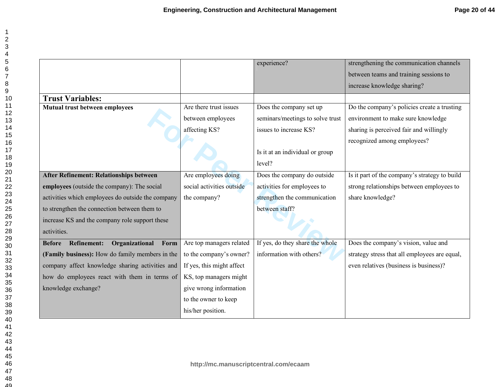|                                                               |                           | experience?                      | strengthening the communication channels      |
|---------------------------------------------------------------|---------------------------|----------------------------------|-----------------------------------------------|
|                                                               |                           |                                  | between teams and training sessions to        |
|                                                               |                           |                                  | increase knowledge sharing?                   |
| <b>Trust Variables:</b>                                       |                           |                                  |                                               |
| Mutual trust between employees                                | Are there trust issues    | Does the company set up          | Do the company's policies create a trusting   |
|                                                               | between employees         | seminars/meetings to solve trust | environment to make sure knowledge            |
|                                                               | affecting KS?             | issues to increase KS?           | sharing is perceived fair and willingly       |
|                                                               |                           |                                  | recognized among employees?                   |
|                                                               |                           | Is it at an individual or group  |                                               |
|                                                               |                           | level?                           |                                               |
| <b>After Refinement: Relationships between</b>                | Are employees doing       | Does the company do outside      | Is it part of the company's strategy to build |
| employees (outside the company): The social                   | social activities outside | activities for employees to      | strong relationships between employees to     |
| activities which employees do outside the company             | the company?              | strengthen the communication     | share knowledge?                              |
| to strengthen the connection between them to                  |                           | between staff?                   |                                               |
| increase KS and the company role support these                |                           |                                  |                                               |
| activities.                                                   |                           |                                  |                                               |
| <b>Refinement:</b><br>Organizational<br>Form<br><b>Before</b> | Are top managers related  | If yes, do they share the whole  | Does the company's vision, value and          |
| (Family business): How do family members in the               | to the company's owner?   | information with others?         | strategy stress that all employees are equal, |
| company affect knowledge sharing activities and               | If yes, this might affect |                                  | even relatives (business is business)?        |
| how do employees react with them in terms of                  | KS, top managers might    |                                  |                                               |
| knowledge exchange?                                           | give wrong information    |                                  |                                               |
|                                                               | to the owner to keep      |                                  |                                               |
|                                                               | his/her position.         |                                  |                                               |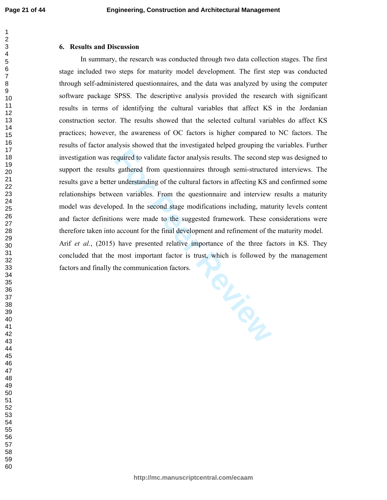**Page 21 of 44**

#### **6. Results and Discussion**

 In summary, the research was conducted through two data collection stages. The first stage included two steps for maturity model development. The first step was conducted through self-administered questionnaires, and the data was analyzed by using the computer software package SPSS. The descriptive analysis provided the research with significant results in terms of identifying the cultural variables that affect KS in the Jordanian construction sector. The results showed that the selected cultural variables do affect KS practices; however, the awareness of OC factors is higher compared to NC factors. The results of factor analysis showed that the investigated helped grouping the variables. Further investigation was required to validate factor analysis results. The second step was designed to support the results gathered from questionnaires through semi-structured interviews. The results gave a better understanding of the cultural factors in affecting KS and confirmed some relationships between variables. From the questionnaire and interview results a maturity model was developed. In the second stage modifications including, maturity levels content and factor definitions were made to the suggested framework. These considerations were therefore taken into account for the final development and refinement of the maturity model. Arif *et al.*, (2015) have presented relative importance of the three factors in KS. They concluded that the most important factor is trust, which is followed by the management factors and finally the communication factors.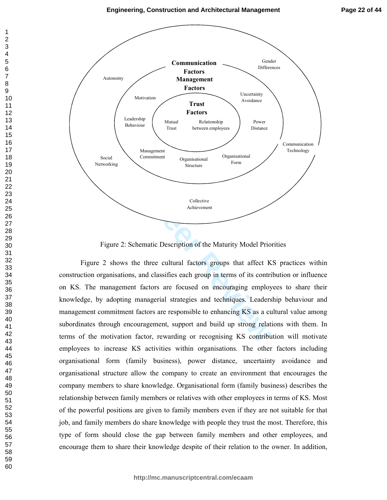

Figure 2: Schematic Description of the Maturity Model Priorities

 Figure 2 shows the three cultural factors groups that affect KS practices within construction organisations, and classifies each group in terms of its contribution or influence on KS. The management factors are focused on encouraging employees to share their knowledge, by adopting managerial strategies and techniques. Leadership behaviour and management commitment factors are responsible to enhancing KS as a cultural value among subordinates through encouragement, support and build up strong relations with them. In terms of the motivation factor, rewarding or recognising KS contribution will motivate employees to increase KS activities within organisations. The other factors including organisational form (family business), power distance, uncertainty avoidance and organisational structure allow the company to create an environment that encourages the company members to share knowledge. Organisational form (family business) describes the relationship between family members or relatives with other employees in terms of KS. Most of the powerful positions are given to family members even if they are not suitable for that job, and family members do share knowledge with people they trust the most. Therefore, this type of form should close the gap between family members and other employees, and encourage them to share their knowledge despite of their relation to the owner. In addition,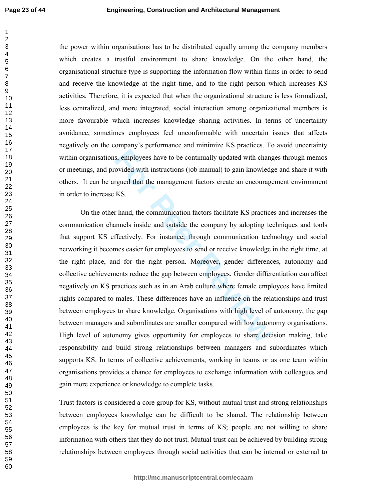$\mathbf{1}$  $\overline{2}$ 

the power within organisations has to be distributed equally among the company members which creates a trustful environment to share knowledge. On the other hand, the organisational structure type is supporting the information flow within firms in order to send and receive the knowledge at the right time, and to the right person which increases KS activities. Therefore, it is expected that when the organizational structure is less formalized, less centralized, and more integrated, social interaction among organizational members is more favourable which increases knowledge sharing activities. In terms of uncertainty avoidance, sometimes employees feel unconformable with uncertain issues that affects negatively on the company's performance and minimize KS practices. To avoid uncertainty within organisations, employees have to be continually updated with changes through memos or meetings, and provided with instructions (job manual) to gain knowledge and share it with others. It can be argued that the management factors create an encouragement environment in order to increase KS.

is, employees have to be continually updated with changeovided with instructions (job manual) to gain knowledger gued that the management factors create an encourage KS.<br> **For Peer Reviewally Exercucity:** Thand, the commun On the other hand, the communication factors facilitate KS practices and increases the communication channels inside and outside the company by adopting techniques and tools that support KS effectively. For instance, through communication technology and social networking it becomes easier for employees to send or receive knowledge in the right time, at the right place, and for the right person. Moreover, gender differences, autonomy and collective achievements reduce the gap between employees. Gender differentiation can affect negatively on KS practices such as in an Arab culture where female employees have limited rights compared to males. These differences have an influence on the relationships and trust between employees to share knowledge. Organisations with high level of autonomy, the gap between managers and subordinates are smaller compared with low autonomy organisations. High level of autonomy gives opportunity for employees to share decision making, take responsibility and build strong relationships between managers and subordinates which supports KS. In terms of collective achievements, working in teams or as one team within organisations provides a chance for employees to exchange information with colleagues and gain more experience or knowledge to complete tasks.

Trust factors is considered a core group for KS, without mutual trust and strong relationships between employees knowledge can be difficult to be shared. The relationship between employees is the key for mutual trust in terms of KS; people are not willing to share information with others that they do not trust. Mutual trust can be achieved by building strong relationships between employees through social activities that can be internal or external to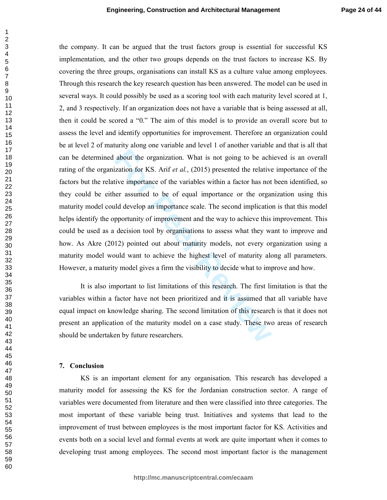about the organization. What is not going to be ach<br>about the organization. What is not going to be ach<br>azition for KS. Arif *et al.*, (2015) presented the relative<br>tive importance of the variables within a factor has not<br> the company. It can be argued that the trust factors group is essential for successful KS implementation, and the other two groups depends on the trust factors to increase KS. By covering the three groups, organisations can install KS as a culture value among employees. Through this research the key research question has been answered. The model can be used in several ways. It could possibly be used as a scoring tool with each maturity level scored at 1, 2, and 3 respectively. If an organization does not have a variable that is being assessed at all, then it could be scored a "0." The aim of this model is to provide an overall score but to assess the level and identify opportunities for improvement. Therefore an organization could be at level 2 of maturity along one variable and level 1 of another variable and that is all that can be determined about the organization. What is not going to be achieved is an overall rating of the organization for KS. Arif *et al.*, (2015) presented the relative importance of the factors but the relative importance of the variables within a factor has not been identified, so they could be either assumed to be of equal importance or the organization using this maturity model could develop an importance scale. The second implication is that this model helps identify the opportunity of improvement and the way to achieve this improvement. This could be used as a decision tool by organisations to assess what they want to improve and how. As Akre (2012) pointed out about maturity models, not every organization using a maturity model would want to achieve the highest level of maturity along all parameters. However, a maturity model gives a firm the visibility to decide what to improve and how.

 It is also important to list limitations of this research. The first limitation is that the variables within a factor have not been prioritized and it is assumed that all variable have equal impact on knowledge sharing. The second limitation of this research is that it does not present an application of the maturity model on a case study. These two areas of research should be undertaken by future researchers.

#### **7. Conclusion**

 KS is an important element for any organisation. This research has developed a maturity model for assessing the KS for the Jordanian construction sector. A range of variables were documented from literature and then were classified into three categories. The most important of these variable being trust. Initiatives and systems that lead to the improvement of trust between employees is the most important factor for KS. Activities and events both on a social level and formal events at work are quite important when it comes to developing trust among employees. The second most important factor is the management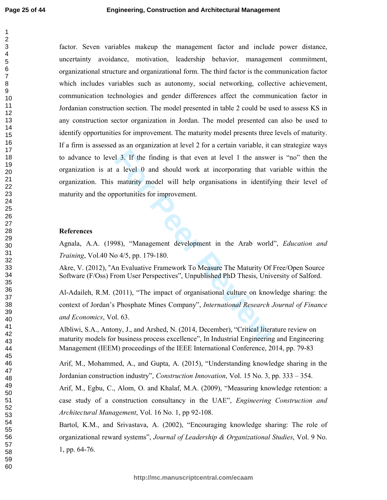For Perspectives", In Industrial Inc.<br>
1. As If the finding is that even at level 1 the answer a level 0 and should work at incorporating that v<br>
1. maturity model will help organisations in identify<br>
portunities for impro factor. Seven variables makeup the management factor and include power distance, uncertainty avoidance, motivation, leadership behavior, management commitment, organizational structure and organizational form. The third factor is the communication factor which includes variables such as autonomy, social networking, collective achievement, communication technologies and gender differences affect the communication factor in Jordanian construction section. The model presented in table 2 could be used to assess KS in any construction sector organization in Jordan. The model presented can also be used to identify opportunities for improvement. The maturity model presents three levels of maturity. If a firm is assessed as an organization at level 2 for a certain variable, it can strategize ways to advance to level 3. If the finding is that even at level 1 the answer is "no" then the organization is at a level 0 and should work at incorporating that variable within the organization. This maturity model will help organisations in identifying their level of maturity and the opportunities for improvement.

## **References**

Agnala, A.A. (1998), "Management development in the Arab world", *Education and Training*, Vol.40 No 4/5, pp. 179-180.

Akre, V. (2012), "An Evaluative Framework To Measure The Maturity Of Free/Open Source Software (F/Oss) From User Perspectives", Unpublished PhD Thesis, University of Salford.

Al-Adaileh, R.M. (2011), "The impact of organisational culture on knowledge sharing: the context of Jordan's Phosphate Mines Company", *International Research Journal of Finance and Economics*, Vol. 63.

Albliwi, S.A., Antony, J., and Arshed, N. (2014, December), "Critical literature review on maturity models for business process excellence", In Industrial Engineering and Engineering Management (IEEM) proceedings of the IEEE International Conference, 2014, pp. 79-83

Arif, M., Mohammed, A., and Gupta, A. (2015), "Understanding knowledge sharing in the Jordanian construction industry", *Construction Innovation*, Vol. 15 No. 3, pp. 333 – 354.

Arif, M., Egbu, C., Alom, O. and Khalaf, M.A. (2009), "Measuring knowledge retention: a case study of a construction consultancy in the UAE", *Engineering Construction and Architectural Management*, Vol. 16 No. 1, pp 92-108.

Bartol, K.M., and Srivastava, A. (2002), "Encouraging knowledge sharing: The role of organizational reward systems", *Journal of Leadership & Organizational Studies*, Vol. 9 No. 1, pp. 64-76.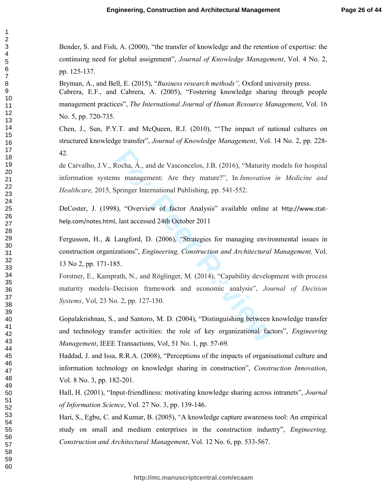Bender, S. and Fish, A. (2000), "the transfer of knowledge and the retention of expertise: the continuing need for global assignment", *Journal of Knowledge Management*, Vol. 4 No. 2, pp. 125-137.

Bryman, A., and Bell, E. (2015), "*Business research methods",* Oxford university press. Cabrera, E.F., and Cabrera, A. (2005), "Fostering knowledge sharing through people management practices", *The International Journal of Human Resource Management*, Vol. 16 No. 5, pp. 720-735.

Chen, J., Sun, P.Y.T. and McQueen, R.J. (2010), "'The impact of national cultures on structured knowledge transfer", *Journal of Knowledge Management*, Vol. 14 No. 2, pp. 228- 42.

Rocha, Á., and de Vasconcelos, J.B. (2016), "Maturity and management: Are they mature?", In *Innovation*<br>Springer International Publishing, pp. 541-552.<br>**For Peer Review of factor Analysis**" available online<br>I, last access de Carvalho, J.V., Rocha, Á., and de Vasconcelos, J.B. (2016), "Maturity models for hospital information systems management: Are they mature?", In *Innovation in Medicine and Healthcare,* 2015, Springer International Publishing, pp. 541-552.

DeCoster, J. (1998), "Overview of factor Analysis" available online at http://www.stathelp.com/notes.html, last accessed 24th October 2011

Fergusson, H., & Langford, D. (2006), "Strategies for managing environmental issues in construction organizations", *Engineering, Construction and Architectural Management,* Vol. 13 No 2, pp. 171-185.

Forstner, E., Kamprath, N., and Röglinger, M. (2014), "Capability development with process maturity models–Decision framework and economic analysis", *Journal of Decision Systems*, Vol, 23 No. 2, pp. 127-150.

Gopalakrishnan, S., and Santoro, M. D. (2004), "Distinguishing between knowledge transfer and technology transfer activities: the role of key organizational factors", *Engineering Management*, IEEE Transactions, Vol, 51 No. 1, pp. 57-69.

Haddad, J. and Issa, R.R.A. (2008), "Perceptions of the impacts of organisational culture and information technology on knowledge sharing in construction", *Construction Innovation*, Vol. 8 No. 3, pp. 182-201.

Hall, H. (2001), "Input-friendliness: motivating knowledge sharing across intranets", *Journal of Information Science*, Vol. 27 No. 3, pp. 139-146.

Hari, S., Egbu, C. and Kumar, B. (2005), "A knowledge capture awareness tool: An empirical study on small and medium enterprises in the construction industry", *Engineering, Construction and Architectural Management*, Vol. 12 No. 6, pp. 533-567.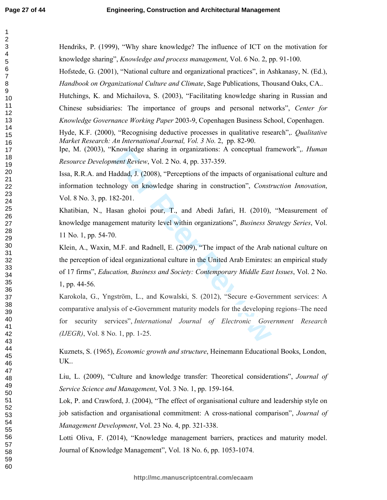**Page 27 of 44**

| 1  |  |
|----|--|
|    |  |
|    |  |
|    |  |
|    |  |
|    |  |
|    |  |
|    |  |
|    |  |
|    |  |
|    |  |
|    |  |
|    |  |
|    |  |
|    |  |
|    |  |
|    |  |
|    |  |
|    |  |
|    |  |
|    |  |
|    |  |
|    |  |
|    |  |
|    |  |
|    |  |
|    |  |
|    |  |
|    |  |
|    |  |
|    |  |
|    |  |
|    |  |
|    |  |
|    |  |
|    |  |
|    |  |
|    |  |
|    |  |
|    |  |
|    |  |
|    |  |
|    |  |
|    |  |
|    |  |
|    |  |
|    |  |
| 40 |  |
| 41 |  |
|    |  |
| 42 |  |
| 43 |  |
| 44 |  |
| 45 |  |
| 46 |  |
|    |  |
| 47 |  |
| 48 |  |
| 49 |  |
| 50 |  |
| 51 |  |
|    |  |
| 52 |  |
| 53 |  |
| 54 |  |
| 55 |  |
| 56 |  |
|    |  |
| 57 |  |
| 58 |  |
| 59 |  |
| 60 |  |

The *Heview*, Vol. 2 No. 4, pp. 337-359.<br>
Action *Review*, Vol. 2 No. 4, pp. 337-359.<br>
Addad, J. (2008), "Perceptions of the impacts of organis<br>
Hology on knowledge sharing in construction", *Consti*<br>
For Parameter Propert Hendriks, P. (1999), "Why share knowledge? The influence of ICT on the motivation for knowledge sharing", *Knowledge and process management*, Vol. 6 No. 2, pp. 91-100. Hofstede, G. (2001), "National culture and organizational practices", in Ashkanasy, N. (Ed.), *Handbook on Organizational Culture and Climate*, Sage Publications, Thousand Oaks, CA.. Hutchings, K. and Michailova, S. (2003), "Facilitating knowledge sharing in Russian and Chinese subsidiaries: The importance of groups and personal networks", *Center for Knowledge Governance Working Paper* 2003-9, Copenhagen Business School, Copenhagen. Hyde, K.F. (2000), "Recognising deductive processes in qualitative research",. *Qualitative Market Research: An International Journal, Vol. 3 No.* 2, pp. 82-90. Ipe, M. (2003), "Knowledge sharing in organizations: A conceptual framework",. *Human Resource Development Review*, Vol. 2 No. 4, pp. 337-359. Issa, R.R.A. and Haddad, J. (2008), "Perceptions of the impacts of organisational culture and information technology on knowledge sharing in construction", *Construction Innovation*, Vol. 8 No. 3, pp. 182-201. Khatibian, N., Hasan gholoi pour, T., and Abedi Jafari, H. (2010), "Measurement of knowledge management maturity level within organizations", *Business Strategy Series*, Vol. 11 No. 1, pp. 54-70. Klein, A., Waxin, M.F. and Radnell, E. (2009), "The impact of the Arab national culture on the perception of ideal organizational culture in the United Arab Emirates: an empirical study of 17 firms", *Education, Business and Society: Contemporary Middle East Issues*, Vol. 2 No. 1, pp. 44-56. Karokola, G., Yngström, L., and Kowalski, S. (2012), "Secure e-Government services: A comparative analysis of e-Government maturity models for the developing regions–The need for security services", *International Journal of Electronic Government Research (IJEGR)*, Vol. 8 No. 1, pp. 1-25. Kuznets, S. (1965), *Economic growth and structure*, Heinemann Educational Books, London, UK.. Liu, L. (2009), "Culture and knowledge transfer: Theoretical considerations", *Journal of Service Science and Management*, Vol. 3 No. 1, pp. 159-164. Lok, P. and Crawford, J. (2004), "The effect of organisational culture and leadership style on job satisfaction and organisational commitment: A cross-national comparison", *Journal of Management Development*, Vol. 23 No. 4, pp. 321-338.

Lotti Oliva, F. (2014), "Knowledge management barriers, practices and maturity model. Journal of Knowledge Management", Vol. 18 No. 6, pp. 1053-1074.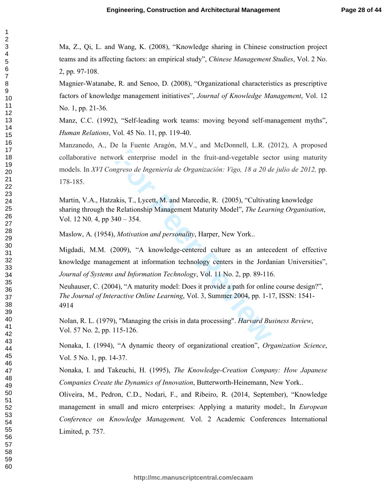Ma, Z., Qi, L. and Wang, K. (2008), "Knowledge sharing in Chinese construction project teams and its affecting factors: an empirical study", *Chinese Management Studies*, Vol. 2 No. 2, pp. 97-108.

Magnier-Watanabe, R. and Senoo, D. (2008), "Organizational characteristics as prescriptive factors of knowledge management initiatives", *Journal of Knowledge Management*, Vol. 12 No. 1, pp. 21-36.

Manz, C.C. (1992), "Self-leading work teams: moving beyond self-management myths", *Human Relations*, Vol. 45 No. 11, pp. 119-40.

ork enterprise model in the fruit-and-vegetable sectors are *set in the fruit-and-vegetable sectors are almenieria de Organización: Vigo, 18 a 20 de altis, T., Lycett, M. and Marcedie, R. (2005), "Cultivati Relationship Ma* Manzanedo, A., De la Fuente Aragón, M.V., and McDonnell, L.R. (2012), A proposed collaborative network enterprise model in the fruit-and-vegetable sector using maturity models. In *XVI Congreso de Ingeniería de Organización: Vigo, 18 a 20 de julio de 2012,* pp. 178-185.

Martin, V.A., Hatzakis, T., Lycett, M. and Marcedie, R. (2005), "Cultivating knowledge sharing through the Relationship Management Maturity Model", *The Learning Organisation*, Vol. 12 N0. 4, pp 340 – 354.

Maslow, A. (1954), *Motivation and personality*, Harper, New York..

Migdadi, M.M. (2009), "A knowledge-centered culture as an antecedent of effective knowledge management at information technology centers in the Jordanian Universities", *Journal of Systems and Information Technology*, Vol. 11 No. 2, pp. 89-116.

Neuhauser, C. (2004), "A maturity model: Does it provide a path for online course design?", *The Journal of Interactive Online Learning*, Vol. 3, Summer 2004, pp. 1-17, ISSN: 1541- 

Nolan, R. L. (1979), "Managing the crisis in data processing". *Harvard Business Review*, Vol. 57 No. 2, pp. 115-126.

Nonaka, I. (1994), "A dynamic theory of organizational creation", *Organization Science*, Vol. 5 No. 1, pp. 14-37.

Nonaka, I. and Takeuchi, H. (1995), *The Knowledge-Creation Company: How Japanese Companies Create the Dynamics of Innovation*, Butterworth-Heinemann, New York..

Oliveira, M., Pedron, C.D., Nodari, F., and Ribeiro, R. (2014, September), "Knowledge management in small and micro enterprises: Applying a maturity model:, In *European Conference on Knowledge Management,* Vol. 2 Academic Conferences International Limited, p. 757.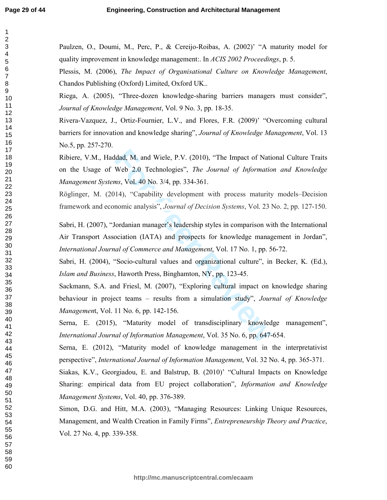| 1                            |                   |
|------------------------------|-------------------|
| $\overline{\mathbf{c}}$<br>3 | Paulzen, O., D    |
| $\overline{\mathbf{4}}$<br>5 | quality improve   |
| 6<br>$\overline{7}$          | Plessis, M. (20   |
| 8                            | Chandos Publis    |
| 9<br>10                      | Riega, A. (20     |
| 11                           | Journal of Kno    |
| 12<br>13                     | Rivera-Vazque:    |
| 14<br>15                     | barriers for inne |
| 16                           | No.5, pp. 257-2   |
| 17<br>18                     | Ribiere, V.M.,    |
| 19                           | on the Usage      |
| 20<br>21                     | Management Sy     |
| 22<br>23                     | Röglinger, M.     |
| 24                           |                   |
| 25<br>26                     | framework and     |
| 27                           | Sabri, H. (2007   |
| 28<br>29                     | Air Transport     |
| 30<br>31                     | International Jo  |
| 32                           | Sabri, H. (2004   |
| 33<br>34                     | Islam and Busir   |
| 35<br>36                     | Sackmann, S.A     |
| 37                           | behaviour in p    |
| 38<br>39                     | Management, V     |
| 40<br>41                     | Serna, E. (20     |
| 42                           | International Jo  |
| 43<br>44                     | Serna, E. (20)    |
| 45                           | perspective", In  |
| 46<br>47                     | Siakas, K.V., 0   |
| 48<br>49                     | Sharing: empir    |
| 50                           | Management Sy     |
| 51<br>52                     | Simon, D.G. a     |
| 53<br>54                     | Management, a     |
| 55                           | Vol. 27 No. 4, p  |
| 56<br>57                     |                   |
| 58                           |                   |
| 59<br>60                     |                   |

Poumi, M., Perc, P., & Cereijo-Roibas, A. (2002)' "A maturity model for ement in knowledge management:. In *ACIS 2002 Proceedings*, p. 5.

Plessis, M. (2006), *The Impact of Organisational Culture on Knowledge Management*,  $\phi$ shing (Oxford) Limited, Oxford UK...

05), "Three-dozen knowledge-sharing barriers managers must consider", *Journal of Knowledge Management*, Vol. 9 No. 3, pp. 18-35.

z, J., Ortiz-Fournier, L.V., and Flores, F.R. (2009)' "Overcoming cultural barriers and knowledge sharing", *Journal of Knowledge Management*, Vol. 13  $70.$ 

Idad, M. and Wiele, P.V. (2010), "The Impact of Nati<br>Web 2.0 Technologies", *The Journal of Informatio*<br>ms, Vol. 40 No. 3/4, pp. 334-361.<br>The *Informatio*<br>ms, Vol. 40 No. 3/4, pp. 334-361.<br>The *Sournal of Decision Systems* Haddad, M. and Wiele, P.V. (2010), "The Impact of National Culture Traits of Web 2.0 Technologies", *The Journal of Information and Knowledge Management Systems*, Vol. 40 No. 3/4, pp. 334-361.

(2014), "Capability development with process maturity models–Decision economic analysis", *Journal of Decision Systems*, Vol. 23 No. 2, pp. 127-150.

), "Jordanian manager's leadership styles in comparison with the International Association (IATA) and prospects for knowledge management in Jordan", *International Journal of Commerce and Management*, Vol. 17 No. 1, pp. 56-72.

4), "Socio-cultural values and organizational culture", in Becker, K. (Ed.), *Islam and Business*, Haworth Press, Binghamton, NY, pp. 123-45.

 $\Lambda$ . and Friesl, M. (2007), "Exploring cultural impact on knowledge sharing behaviour in project teams – results from a simulation study", *Journal of Knowledge Managemen*t, Vol. 11 No. 6, pp. 142-156.

015), "Maturity model of transdisciplinary knowledge management", *<i><u>Information Management*, Vol. 35 No. 6, pp. 647-654.</u>

12), "Maturity model of knowledge management in the interpretativist perspective", *International Journal of Information Management*, Vol. 32 No. 4, pp. 365-371.

Georgiadou, E. and Balstrup, B. (2010)' "Cultural Impacts on Knowledge rical data from EU project collaboration", *Information and Knowledge Management Systems*, Vol. 40, pp. 376-389.

and Hitt, M.A. (2003), "Managing Resources: Linking Unique Resources, management Management in Family Firms", *Entrepreneurship Theory and Practice*, pp. 339-358.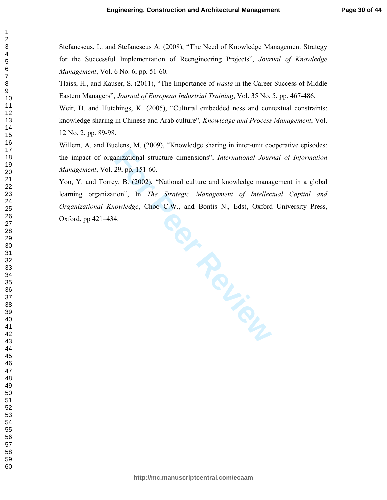Stefanescus, L. and Stefanescus A. (2008), "The Need of Knowledge Management Strategy for the Successful Implementation of Reengineering Projects", *Journal of Knowledge Management*, Vol. 6 No. 6, pp. 51-60.

Tlaiss, H., and Kauser, S. (2011), "The Importance of *wasta* in the Career Success of Middle Eastern Managers", *Journal of European Industrial Training*, Vol. 35 No. 5, pp. 467-486.

Weir, D. and Hutchings, K. (2005), "Cultural embedded ness and contextual constraints: knowledge sharing in Chinese and Arab culture"*, Knowledge and Process Management*, Vol. 12 No. 2, pp. 89-98.

Willem, A. and Buelens, M. (2009), "Knowledge sharing in inter-unit cooperative episodes: the impact of organizational structure dimensions", *International Journal of Information Management*, Vol. 29, pp. 151-60.

Yoo, Y. and Torrey, B. (2002), "National culture and knowledge management in a global learning organization", In *The Strategic Management of Intellectual Capital and Organizational Knowledge*, Choo C.W., and Bontis N., Eds), Oxford University Press, Oxford, pp 421–434.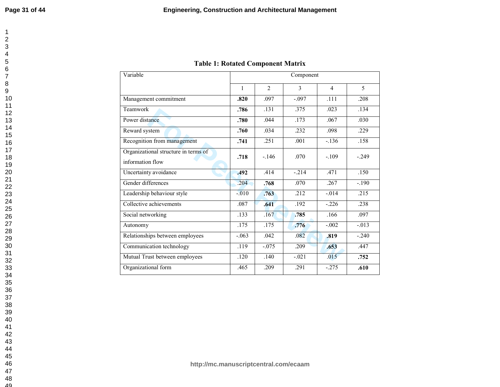| Variable                                                 | Component    |                |               |                |          |
|----------------------------------------------------------|--------------|----------------|---------------|----------------|----------|
|                                                          | $\mathbf{1}$ | $\overline{2}$ | $\mathcal{E}$ | $\overline{4}$ | 5        |
| Management commitment                                    | .820         | .097           | $-.097$       | .111           | .208     |
| Teamwork                                                 | .786         | .131           | .375          | .023           | .134     |
| Power distance                                           | .780         | .044           | .173          | .067           | .030     |
| Reward system                                            | .760         | .034           | .232          | .098           | .229     |
| Recognition from management                              | .741         | .251           | .001          | $-136$         | .158     |
| Organizational structure in terms of<br>information flow | .718         | $-146$         | .070          | $-.109$        | $-249$   |
| Uncertainty avoidance                                    | .492         | .414           | $-214$        | .471           | .150     |
| Gender differences                                       | .204         | .768           | .070          | .267           | $-.190$  |
| Leadership behaviour style                               | $-0.010$     | .763           | .212          | $-.014$        | .215     |
| Collective achievements                                  | .087         | .641           | .192          | $-.226$        | .238     |
| Social networking                                        | .133         | .167           | .785          | .166           | .097     |
| Autonomy                                                 | .175         | .175           | .776          | $-.002$        | $-0.013$ |
| Relationships between employees                          | $-.063$      | .042           | .082          | .819           | $-.240$  |
| Communication technology                                 | .119         | $-.075$        | .209          | .653           | .447     |
| Mutual Trust between employees                           | .120         | .140           | $-.021$       | .015           | .752     |
| Organizational form                                      | .465         | .209           | .291          | $-.275$        | .610     |

## **Table 1: Rotated Component Matrix**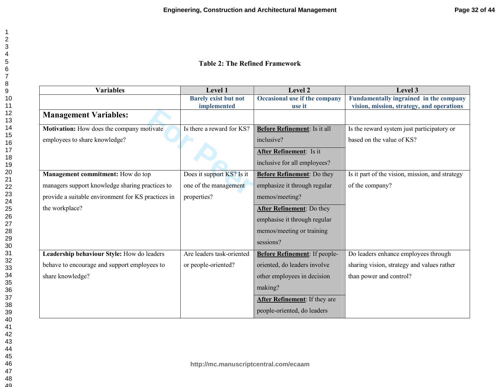# **Table 2: The Refined Framework**

| <b>Variables</b>                                   | Level 1                     | Level 2                               | Level 3                                         |
|----------------------------------------------------|-----------------------------|---------------------------------------|-------------------------------------------------|
|                                                    | <b>Barely exist but not</b> | Occasional use if the company         | Fundamentally ingrained in the company          |
|                                                    | implemented                 | use it                                | vision, mission, strategy, and operations       |
| <b>Management Variables:</b>                       |                             |                                       |                                                 |
| Motivation: How does the company motivate          | Is there a reward for KS?   | <b>Before Refinement:</b> Is it all   | Is the reward system just participatory or      |
| employees to share knowledge?                      |                             | inclusive?                            | based on the value of KS?                       |
|                                                    |                             | After Refinement: Is it               |                                                 |
|                                                    |                             | inclusive for all employees?          |                                                 |
| Management commitment: How do top                  | Does it support KS? Is it   | <b>Before Refinement:</b> Do they     | Is it part of the vision, mission, and strategy |
| managers support knowledge sharing practices to    | one of the management       | emphasize it through regular          | of the company?                                 |
| provide a suitable environment for KS practices in | properties?                 | memos/meeting?                        |                                                 |
| the workplace?                                     |                             | <b>After Refinement:</b> Do they      |                                                 |
|                                                    |                             | emphasise it through regular          |                                                 |
|                                                    |                             | memos/meeting or training             |                                                 |
|                                                    |                             | sessions?                             |                                                 |
| Leadership behaviour Style: How do leaders         | Are leaders task-oriented   | <b>Before Refinement:</b> If people-  | Do leaders enhance employees through            |
| behave to encourage and support employees to       | or people-oriented?         | oriented, do leaders involve          | sharing vision, strategy and values rather      |
| share knowledge?                                   |                             | other employees in decision           | than power and control?                         |
|                                                    |                             | making?                               |                                                 |
|                                                    |                             | <b>After Refinement</b> : If they are |                                                 |
|                                                    |                             | people-oriented, do leaders           |                                                 |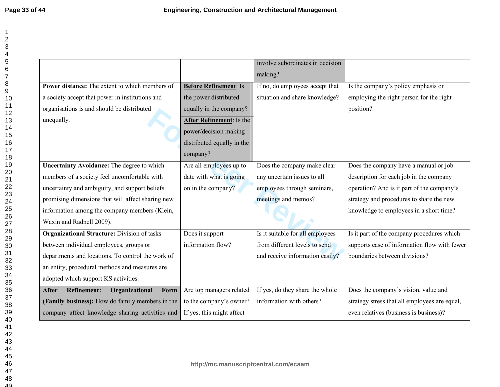12

|                                                              |                                 | involve subordinates in decision |                                               |
|--------------------------------------------------------------|---------------------------------|----------------------------------|-----------------------------------------------|
|                                                              |                                 | making?                          |                                               |
| <b>Power distance:</b> The extent to which members of        | <b>Before Refinement: Is</b>    | If no, do employees accept that  | Is the company's policy emphasis on           |
| a society accept that power in institutions and              | the power distributed           | situation and share knowledge?   | employing the right person for the right      |
| organisations is and should be distributed                   | equally in the company?         |                                  | position?                                     |
| unequally.                                                   | <b>After Refinement:</b> Is the |                                  |                                               |
|                                                              | power/decision making           |                                  |                                               |
|                                                              | distributed equally in the      |                                  |                                               |
|                                                              | company?                        |                                  |                                               |
| Uncertainty Avoidance: The degree to which                   | Are all employees up to         | Does the company make clear      | Does the company have a manual or job         |
| members of a society feel uncomfortable with                 | date with what is going         | any uncertain issues to all      | description for each job in the company       |
| uncertainty and ambiguity, and support beliefs               | on in the company?              | employees through seminars,      | operation? And is it part of the company's    |
| promising dimensions that will affect sharing new            |                                 | meetings and memos?              | strategy and procedures to share the new      |
| information among the company members (Klein,                |                                 |                                  | knowledge to employees in a short time?       |
| Waxin and Radnell 2009).                                     |                                 |                                  |                                               |
| <b>Organizational Structure: Division of tasks</b>           | Does it support                 | Is it suitable for all employees | Is it part of the company procedures which    |
| between individual employees, groups or                      | information flow?               | from different levels to send    | supports ease of information flow with fewer  |
| departments and locations. To control the work of            |                                 | and receive information easily?  | boundaries between divisions?                 |
| an entity, procedural methods and measures are               |                                 |                                  |                                               |
| adopted which support KS activities.                         |                                 |                                  |                                               |
| <b>Refinement:</b><br>Organizational<br>Form<br><b>After</b> | Are top managers related        | If yes, do they share the whole  | Does the company's vision, value and          |
| (Family business): How do family members in the              | to the company's owner?         | information with others?         | strategy stress that all employees are equal, |
| company affect knowledge sharing activities and              | If yes, this might affect       |                                  | even relatives (business is business)?        |

49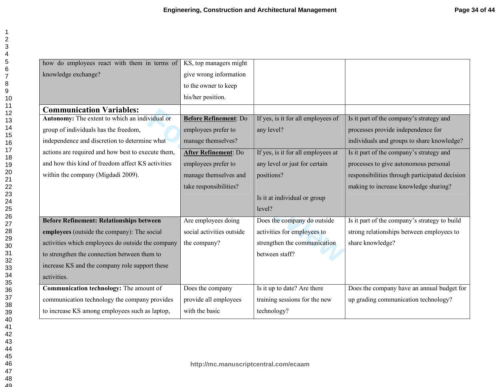<u> 1989 - Andrea Santa Andrea Santa Andrea Santa Andrea Santa Andrea Santa Andrea Santa Andrea Santa Andrea San</u>

| how do employees react with them in terms of       | KS, top managers might       |                                    |                                                |
|----------------------------------------------------|------------------------------|------------------------------------|------------------------------------------------|
| knowledge exchange?                                | give wrong information       |                                    |                                                |
|                                                    | to the owner to keep         |                                    |                                                |
|                                                    | his/her position.            |                                    |                                                |
| <b>Communication Variables:</b>                    |                              |                                    |                                                |
| Autonomy: The extent to which an individual or     | <b>Before Refinement: Do</b> | If yes, is it for all employees of | Is it part of the company's strategy and       |
| group of individuals has the freedom,              | employees prefer to          | any level?                         | processes provide independence for             |
| independence and discretion to determine what      | manage themselves?           |                                    | individuals and groups to share knowledge?     |
| actions are required and how best to execute them, | <b>After Refinement: Do</b>  | If yes, is it for all employees at | Is it part of the company's strategy and       |
| and how this kind of freedom affect KS activities  | employees prefer to          | any level or just for certain      | processes to give autonomous personal          |
| within the company (Migdadi 2009).                 | manage themselves and        | positions?                         | responsibilities through participated decision |
|                                                    | take responsibilities?       |                                    | making to increase knowledge sharing?          |
|                                                    |                              | Is it at individual or group       |                                                |
|                                                    |                              | level?                             |                                                |
| <b>Before Refinement: Relationships between</b>    | Are employees doing          | Does the company do outside        | Is it part of the company's strategy to build  |
| employees (outside the company): The social        | social activities outside    | activities for employees to        | strong relationships between employees to      |
| activities which employees do outside the company  | the company?                 | strengthen the communication       | share knowledge?                               |
| to strengthen the connection between them to       |                              | between staff?                     |                                                |
| increase KS and the company role support these     |                              |                                    |                                                |
| activities.                                        |                              |                                    |                                                |
| <b>Communication technology:</b> The amount of     | Does the company             | Is it up to date? Are there        | Does the company have an annual budget for     |
|                                                    |                              |                                    |                                                |
| communication technology the company provides      | provide all employees        | training sessions for the new      | up grading communication technology?           |

49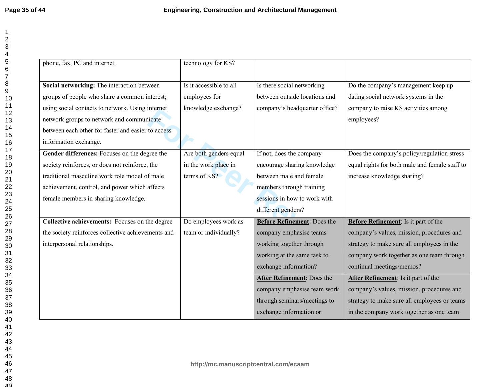| phone, fax, PC and internet.                       | technology for KS?      |                                    |                                                |
|----------------------------------------------------|-------------------------|------------------------------------|------------------------------------------------|
| Social networking: The interaction between         | Is it accessible to all | Is there social networking         | Do the company's management keep up            |
|                                                    |                         |                                    |                                                |
| groups of people who share a common interest;      | employees for           | between outside locations and      | dating social network systems in the           |
| using social contacts to network. Using internet   | knowledge exchange?     | company's headquarter office?      | company to raise KS activities among           |
| network groups to network and communicate          |                         |                                    | employees?                                     |
| between each other for faster and easier to access |                         |                                    |                                                |
| information exchange.                              |                         |                                    |                                                |
| Gender differences: Focuses on the degree the      | Are both genders equal  | If not, does the company           | Does the company's policy/regulation stress    |
| society reinforces, or does not reinforce, the     | in the work place in    | encourage sharing knowledge        | equal rights for both male and female staff to |
| traditional masculine work role model of male      | terms of KS?            | between male and female            | increase knowledge sharing?                    |
| achievement, control, and power which affects      |                         | members through training           |                                                |
| female members in sharing knowledge.               |                         | sessions in how to work with       |                                                |
|                                                    |                         | different genders?                 |                                                |
| Collective achievements: Focuses on the degree     | Do employees work as    | <b>Before Refinement: Does the</b> | <b>Before Refinement:</b> Is it part of the    |
| the society reinforces collective achievements and | team or individually?   | company emphasise teams            | company's values, mission, procedures and      |
| interpersonal relationships.                       |                         | working together through           | strategy to make sure all employees in the     |
|                                                    |                         | working at the same task to        | company work together as one team through      |
|                                                    |                         | exchange information?              | continual meetings/memos?                      |
|                                                    |                         | After Refinement: Does the         | After Refinement: Is it part of the            |
|                                                    |                         | company emphasise team work        | company's values, mission, procedures and      |
|                                                    |                         | through seminars/meetings to       | strategy to make sure all employees or teams   |
|                                                    |                         | exchange information or            | in the company work together as one team       |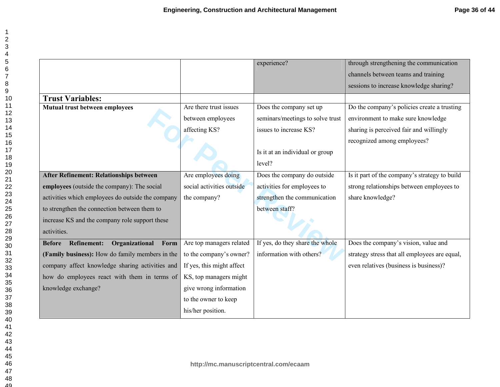|                                                               |                           | experience?                      | through strengthening the communication       |
|---------------------------------------------------------------|---------------------------|----------------------------------|-----------------------------------------------|
|                                                               |                           |                                  | channels between teams and training           |
|                                                               |                           |                                  | sessions to increase knowledge sharing?       |
| <b>Trust Variables:</b>                                       |                           |                                  |                                               |
| Mutual trust between employees                                | Are there trust issues    | Does the company set up          | Do the company's policies create a trusting   |
|                                                               | between employees         | seminars/meetings to solve trust | environment to make sure knowledge            |
|                                                               | affecting KS?             | issues to increase KS?           | sharing is perceived fair and willingly       |
|                                                               |                           |                                  | recognized among employees?                   |
|                                                               |                           | Is it at an individual or group  |                                               |
|                                                               |                           | level?                           |                                               |
| <b>After Refinement: Relationships between</b>                | Are employees doing       | Does the company do outside      | Is it part of the company's strategy to build |
| employees (outside the company): The social                   | social activities outside | activities for employees to      | strong relationships between employees to     |
| activities which employees do outside the company             | the company?              | strengthen the communication     | share knowledge?                              |
| to strengthen the connection between them to                  |                           | between staff?                   |                                               |
| increase KS and the company role support these                |                           |                                  |                                               |
| activities.                                                   |                           |                                  |                                               |
| <b>Refinement:</b><br>Organizational<br>Form<br><b>Before</b> | Are top managers related  | If yes, do they share the whole  | Does the company's vision, value and          |
| (Family business): How do family members in the               | to the company's owner?   | information with others?         | strategy stress that all employees are equal, |
| company affect knowledge sharing activities and               | If yes, this might affect |                                  | even relatives (business is business)?        |
| how do employees react with them in terms of                  | KS, top managers might    |                                  |                                               |
| knowledge exchange?                                           | give wrong information    |                                  |                                               |
|                                                               | to the owner to keep      |                                  |                                               |
|                                                               | his/her position.         |                                  |                                               |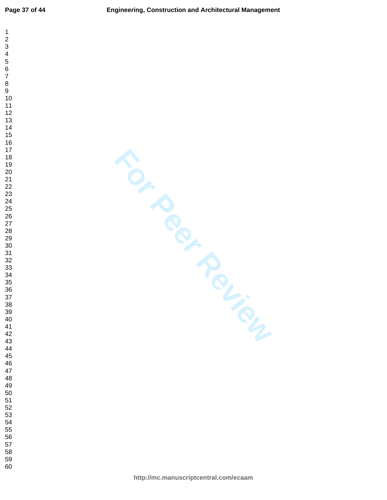$\mathbf 1$  $\overline{2}$  $\overline{\mathbf{4}}$  $\overline{7}$ 

- 
- 

**http://mc.manuscriptcentral.com/ecaam**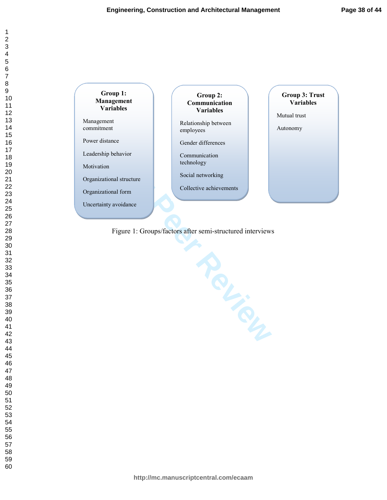**Group 1: Management Variables** 

Management commitment

Power distance

Leadership behavior

Motivation

Organizational structure

Organizational form

Uncertainty avoidance

**Group 2: Communication Variables**

Relationship between employees

Gender differences

Communication technology

Social networking

Collective achievements

**Group 3: Trust Variables** 

Mutual trust

Autonomy

Figure 1: Groups/factors after semi-structured interviews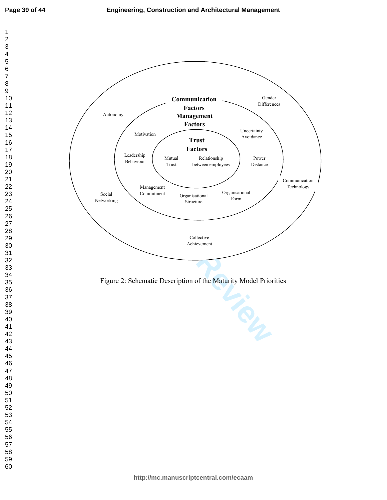60

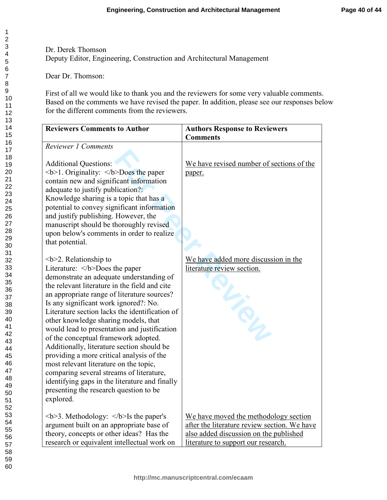Dr. Derek Thomson Deputy Editor, Engineering, Construction and Architectural Management

Dear Dr. Thomson:

First of all we would like to thank you and the reviewers for some very valuable comments. Based on the comments we have revised the paper. In addition, please see our responses below for the different comments from the reviewers.

| <b>Reviewers Comments to Author</b>                                                                                                                                                                                                                                                                                                                                                                                                                                                                                                                                                                                                                                                                                                      | <b>Authors Response to Reviewers</b><br><b>Comments</b>                                                                                                                |
|------------------------------------------------------------------------------------------------------------------------------------------------------------------------------------------------------------------------------------------------------------------------------------------------------------------------------------------------------------------------------------------------------------------------------------------------------------------------------------------------------------------------------------------------------------------------------------------------------------------------------------------------------------------------------------------------------------------------------------------|------------------------------------------------------------------------------------------------------------------------------------------------------------------------|
| Reviewer 1 Comments                                                                                                                                                                                                                                                                                                                                                                                                                                                                                                                                                                                                                                                                                                                      |                                                                                                                                                                        |
| <b>Additional Questions:</b><br>$1. Originally: 1. O$<br>contain new and significant information<br>adequate to justify publication?:<br>Knowledge sharing is a topic that has a<br>potential to convey significant information<br>and justify publishing. However, the<br>manuscript should be thoroughly revised<br>upon below's comments in order to realize<br>that potential.                                                                                                                                                                                                                                                                                                                                                       | We have revised number of sections of the<br>paper.                                                                                                                    |
| $2$ . Relationship to<br>Literature: $\langle b \rangle$ Does the paper<br>demonstrate an adequate understanding of<br>the relevant literature in the field and cite<br>an appropriate range of literature sources?<br>Is any significant work ignored?: No.<br>Literature section lacks the identification of<br>other knowledge sharing models, that<br>would lead to presentation and justification<br>of the conceptual framework adopted.<br>Additionally, literature section should be<br>providing a more critical analysis of the<br>most relevant literature on the topic,<br>comparing several streams of literature,<br>identifying gaps in the literature and finally<br>presenting the research question to be<br>explored. | We have added more discussion in the<br>literature review section.                                                                                                     |
| $5-3$ . Methodology: $<$ /b>Is the paper's<br>argument built on an appropriate base of<br>theory, concepts or other ideas? Has the<br>research or equivalent intellectual work on                                                                                                                                                                                                                                                                                                                                                                                                                                                                                                                                                        | We have moved the methodology section<br>after the literature review section. We have<br>also added discussion on the published<br>literature to support our research. |

123456789

 $\mathbf{1}$  $\overline{2}$ 3  $\overline{\mathbf{4}}$ 5 6  $\overline{7}$ 8 9

10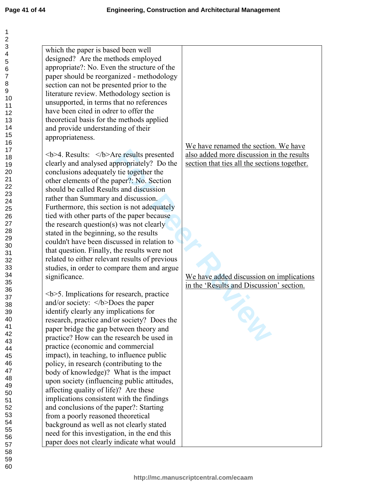For Performance and Superinted and Superinted and Superinted Performance and the section that ties all the section of the together the aper?: No. Section that ties all the section stand discussion of discussion.<br>
In an dis which the paper is based been well designed? Are the methods employed appropriate?: No. Even the structure of the paper should be reorganized - methodology section can not be presented prior to the literature review. Methodology section is unsupported, in terms that no references have been cited in odrer to offer the theoretical basis for the methods applied and provide understanding of their appropriateness.  $$ clearly and analysed appropriately? Do the conclusions adequately tie together the other elements of the paper?: No. Section should be called Results and discussion rather than Summary and discussion. Furthermore, this section is not adequately tied with other parts of the paper because the research question(s) was not clearly stated in the beginning, so the results couldn't have been discussed in relation to that question. Finally, the results were not related to either relevant results of previous studies, in order to compare them and argue significance. <b>5. Implications for research, practice and/or society:  $\langle b \rangle$ Does the paper identify clearly any implications for research, practice and/or society? Does the paper bridge the gap between theory and practice? How can the research be used in practice (economic and commercial impact), in teaching, to influence public policy, in research (contributing to the body of knowledge)? What is the impact upon society (influencing public attitudes, affecting quality of life)? Are these implications consistent with the findings and conclusions of the paper?: Starting from a poorly reasoned theoretical background as well as not clearly stated need for this investigation, in the end this paper does not clearly indicate what would We have renamed the section. We have also added more discussion in the results section that ties all the sections together. We have added discussion on implications in the 'Results and Discussion' section.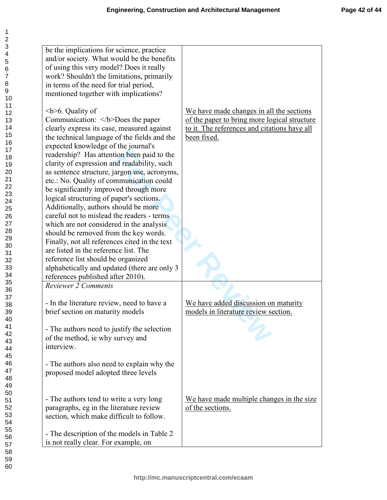| be the implications for science, practice<br>and/or society. What would be the benefits<br>of using this very model? Does it really<br>work? Shouldn't the limitations, primarily<br>in terms of the need for trial period,<br>mentioned together with implications?                                                                                                                                                                                                                                                                          |                                                                                                                                                         |
|-----------------------------------------------------------------------------------------------------------------------------------------------------------------------------------------------------------------------------------------------------------------------------------------------------------------------------------------------------------------------------------------------------------------------------------------------------------------------------------------------------------------------------------------------|---------------------------------------------------------------------------------------------------------------------------------------------------------|
| $\leq b \geq 6$ . Quality of<br>Communication: $\langle b \rangle$ Does the paper<br>clearly express its case, measured against<br>the technical language of the fields and the<br>expected knowledge of the journal's<br>readership? Has attention been paid to the<br>clarity of expression and readability, such<br>as sentence structure, jargon use, acronyms,<br>etc.: No. Quality of communication could<br>be significantly improved through more<br>logical structuring of paper's sections.<br>Additionally, authors should be more | We have made changes in all the sections<br>of the paper to bring more logical structure<br>to it. The references and citations have all<br>been fixed. |
| careful not to mislead the readers - terms<br>which are not considered in the analysis<br>should be removed from the key words.<br>Finally, not all references cited in the text<br>are listed in the reference list. The<br>reference list should be organized<br>alphabetically and updated (there are only 3                                                                                                                                                                                                                               |                                                                                                                                                         |
| references published after 2010).<br><b>Reviewer 2 Comments</b>                                                                                                                                                                                                                                                                                                                                                                                                                                                                               |                                                                                                                                                         |
| - In the literature review, need to have a<br>brief section on maturity models<br>- The authors need to justify the selection<br>of the method, ie why survey and<br>interview.                                                                                                                                                                                                                                                                                                                                                               | We have added discussion on maturity<br>models in literature review section.                                                                            |
| - The authors also need to explain why the<br>proposed model adopted three levels                                                                                                                                                                                                                                                                                                                                                                                                                                                             |                                                                                                                                                         |
| - The authors tend to write a very long<br>paragraphs, eg in the literature review<br>section, which make difficult to follow.                                                                                                                                                                                                                                                                                                                                                                                                                | We have made multiple changes in the size<br>of the sections.                                                                                           |
| - The description of the models in Table 2<br>is not really clear. For example, on                                                                                                                                                                                                                                                                                                                                                                                                                                                            |                                                                                                                                                         |

 $\mathbf{1}$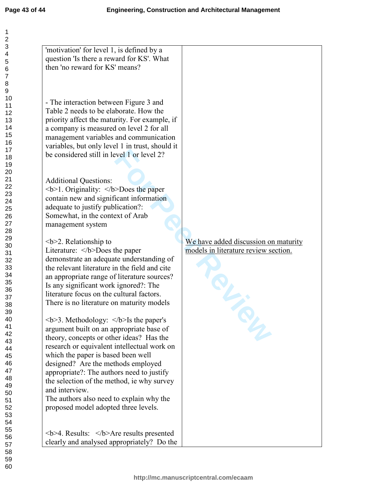'motivation' for level 1, is defined by a question 'Is there a reward for KS'. What then 'no reward for KS' means? - The interaction between Figure 3 and Table 2 needs to be elaborate. How the priority affect the maturity. For example, if a company is measured on level 2 for all management variables and communication variables, but only level 1 in trust, should it be considered still in level 1 or level 2? Additional Questions: **. Originality:**  $<$ **/b** $>$ **Does the paper** contain new and significant information adequate to justify publication?: Somewhat, in the context of Arab management system <b>2. Relationship to Literature:  $\langle b \rangle$ Does the paper demonstrate an adequate understanding of the relevant literature in the field and cite an appropriate range of literature sources? Is any significant work ignored?: The literature focus on the cultural factors. There is no literature on maturity models  $\langle b \rangle$ 3. Methodology:  $\langle b \rangle$  is the paper's argument built on an appropriate base of theory, concepts or other ideas? Has the research or equivalent intellectual work on which the paper is based been well designed? Are the methods employed appropriate?: The authors need to justify the selection of the method, ie why survey and interview. The authors also need to explain why the proposed model adopted three levels. **4. Results:**  $\langle b \rangle$ **Are results presented** clearly and analysed appropriately? Do the We have added discussion on maturity models in literature review section.